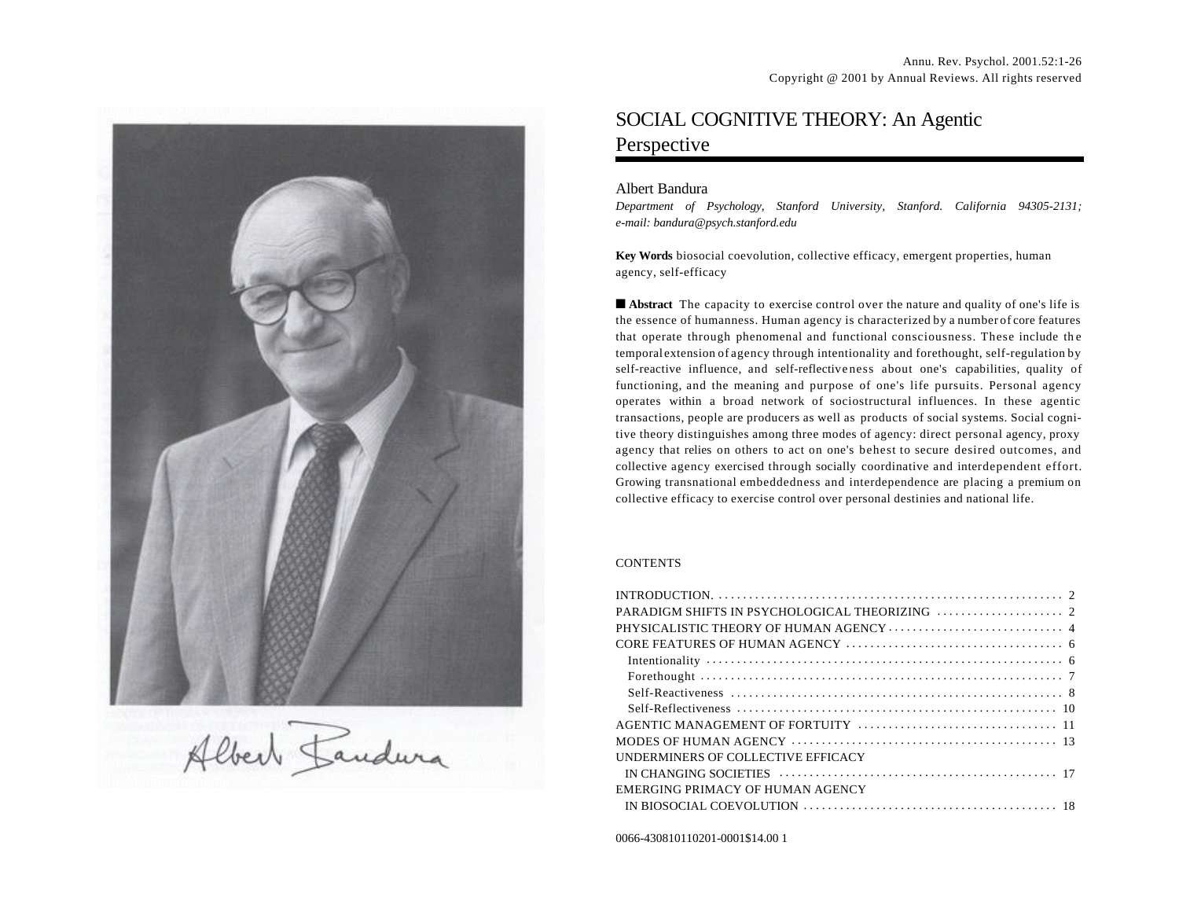

Albert Fandura

# SOCIAL COGNITIVE THEORY: An Agentic Perspective

#### Albert Bandura

*Department of Psychology, Stanford University, Stanford. California 94305-2131; e-mail: bandura@psych.stanford.edu*

**Key Words** biosocial coevolution, collective efficacy, emergent properties, human agency, self-efficacy

ê **Abstract** The capacity to exercise control over the nature and quality of one's life is the essence of humanness. Human agency is characterized by a number of core features that operate through phenomenal and functional consciousness. These include the temporal extension of agency through intentionality and forethought, self-regulation by self-reactive influence, and self-reflective ness about one's capabilities, quality of functioning, and the meaning and purpose of one's life pursuits. Personal agency operates within a broad network of sociostructural influences. In these agentic transactions, people are producers as well as products of social systems. Social cognitive theory distinguishes among three modes of agency: direct personal agency, proxy agency that relies on others to act on one's behest to secure desired outcomes, and collective agency exercised through socially coordinative and interdependent effort. Growing transnational embeddedness and interdependence are placing a premium on collective efficacy to exercise control over personal destinies and national life.

#### **CONTENTS**

| UNDERMINERS OF COLLECTIVE EFFICACY |
|------------------------------------|
|                                    |
| EMERGING PRIMACY OF HUMAN AGENCY   |
|                                    |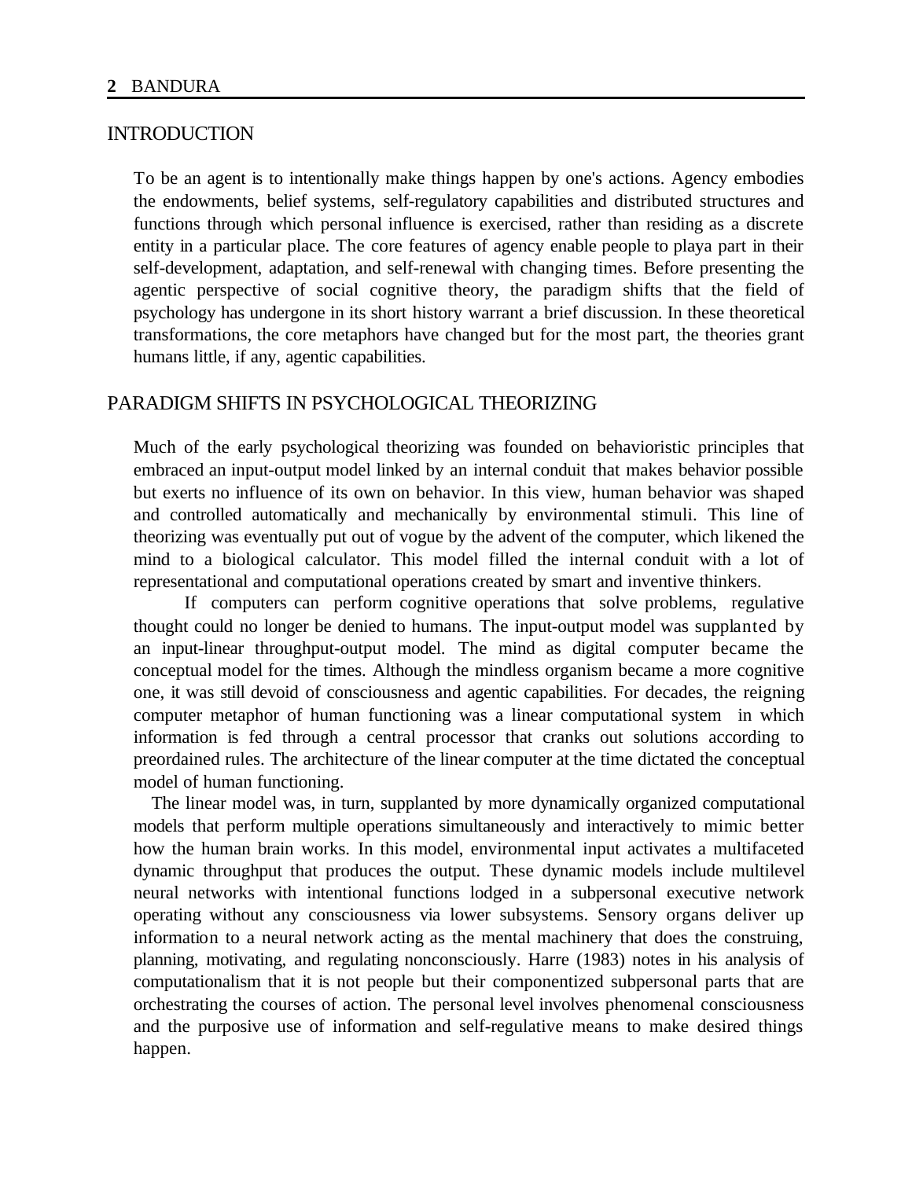## INTRODUCTION

To be an agent is to intentionally make things happen by one's actions. Agency embodies the endowments, belief systems, self-regulatory capabilities and distributed structures and functions through which personal influence is exercised, rather than residing as a discrete entity in a particular place. The core features of agency enable people to playa part in their self-development, adaptation, and self-renewal with changing times. Before presenting the agentic perspective of social cognitive theory, the paradigm shifts that the field of psychology has undergone in its short history warrant a brief discussion. In these theoretical transformations, the core metaphors have changed but for the most part, the theories grant humans little, if any, agentic capabilities.

# PARADIGM SHIFTS IN PSYCHOLOGICAL THEORIZING

Much of the early psychological theorizing was founded on behavioristic principles that embraced an input-output model linked by an internal conduit that makes behavior possible but exerts no influence of its own on behavior. In this view, human behavior was shaped and controlled automatically and mechanically by environmental stimuli. This line of theorizing was eventually put out of vogue by the advent of the computer, which likened the mind to a biological calculator. This model filled the internal conduit with a lot of representational and computational operations created by smart and inventive thinkers.

 If computers can perform cognitive operations that solve problems, regulative thought could no longer be denied to humans. The input-output model was supplanted by an input-linear throughput-output model. The mind as digital computer became the conceptual model for the times. Although the mindless organism became a more cognitive one, it was still devoid of consciousness and agentic capabilities. For decades, the reigning computer metaphor of human functioning was a linear computational system in which information is fed through a central processor that cranks out solutions according to preordained rules. The architecture of the linear computer at the time dictated the conceptual model of human functioning.

 The linear model was, in turn, supplanted by more dynamically organized computational models that perform multiple operations simultaneously and interactively to mimic better how the human brain works. In this model, environmental input activates a multifaceted dynamic throughput that produces the output. These dynamic models include multilevel neural networks with intentional functions lodged in a subpersonal executive network operating without any consciousness via lower subsystems. Sensory organs deliver up information to a neural network acting as the mental machinery that does the construing, planning, motivating, and regulating nonconsciously. Harre (1983) notes in his analysis of computationalism that it is not people but their componentized subpersonal parts that are orchestrating the courses of action. The personal level involves phenomenal consciousness and the purposive use of information and self-regulative means to make desired things happen.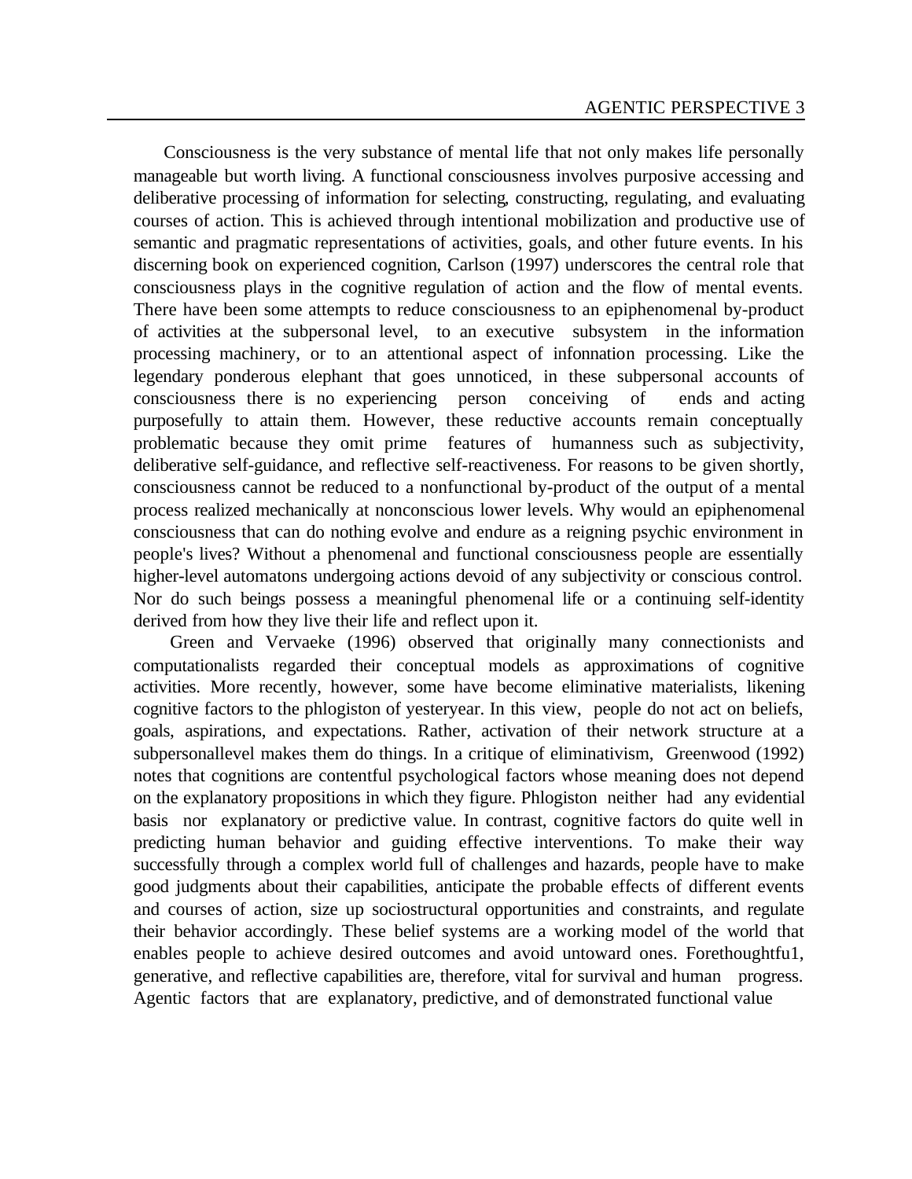Consciousness is the very substance of mental life that not only makes life personally manageable but worth living. A functional consciousness involves purposive accessing and deliberative processing of information for selecting, constructing, regulating, and evaluating courses of action. This is achieved through intentional mobilization and productive use of semantic and pragmatic representations of activities, goals, and other future events. In his discerning book on experienced cognition, Carlson (1997) underscores the central role that consciousness plays in the cognitive regulation of action and the flow of mental events. There have been some attempts to reduce consciousness to an epiphenomenal by-product of activities at the subpersonal level, to an executive subsystem in the information processing machinery, or to an attentional aspect of infonnation processing. Like the legendary ponderous elephant that goes unnoticed, in these subpersonal accounts of consciousness there is no experiencing person conceiving of ends and acting purposefully to attain them. However, these reductive accounts remain conceptually problematic because they omit prime features of humanness such as subjectivity, deliberative self-guidance, and reflective self-reactiveness. For reasons to be given shortly, consciousness cannot be reduced to a nonfunctional by-product of the output of a mental process realized mechanically at nonconscious lower levels. Why would an epiphenomenal consciousness that can do nothing evolve and endure as a reigning psychic environment in people's lives? Without a phenomenal and functional consciousness people are essentially higher-level automatons undergoing actions devoid of any subjectivity or conscious control. Nor do such beings possess a meaningful phenomenal life or a continuing self-identity derived from how they live their life and reflect upon it.

 Green and Vervaeke (1996) observed that originally many connectionists and computationalists regarded their conceptual models as approximations of cognitive activities. More recently, however, some have become eliminative materialists, likening cognitive factors to the phlogiston of yesteryear. In this view, people do not act on beliefs, goals, aspirations, and expectations. Rather, activation of their network structure at a subpersonallevel makes them do things. In a critique of eliminativism, Greenwood (1992) notes that cognitions are contentful psychological factors whose meaning does not depend on the explanatory propositions in which they figure. Phlogiston neither had any evidential basis nor explanatory or predictive value. In contrast, cognitive factors do quite well in predicting human behavior and guiding effective interventions. To make their way successfully through a complex world full of challenges and hazards, people have to make good judgments about their capabilities, anticipate the probable effects of different events and courses of action, size up sociostructural opportunities and constraints, and regulate their behavior accordingly. These belief systems are a working model of the world that enables people to achieve desired outcomes and avoid untoward ones. Forethoughtfu1, generative, and reflective capabilities are, therefore, vital for survival and human progress. Agentic factors that are explanatory, predictive, and of demonstrated functional value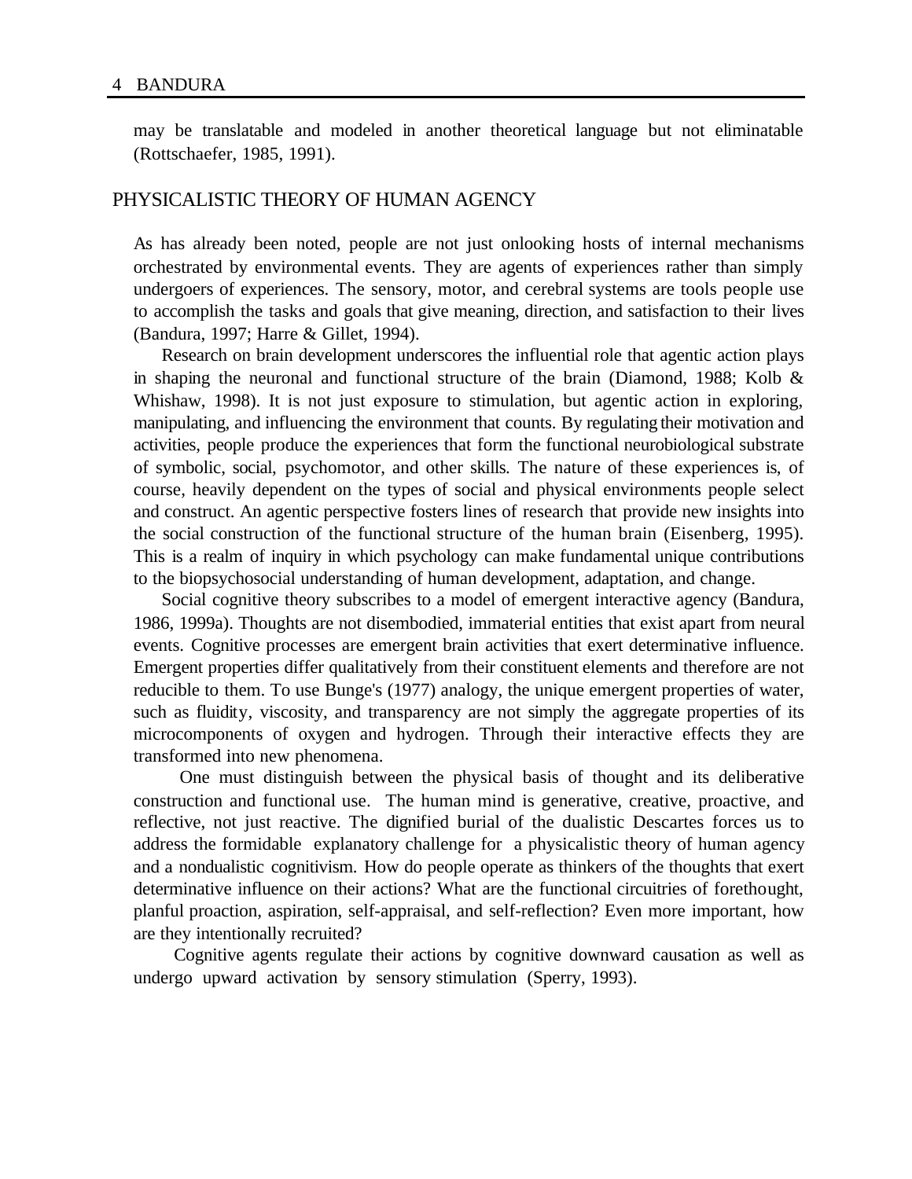may be translatable and modeled in another theoretical language but not eliminatable (Rottschaefer, 1985, 1991).

#### PHYSICALISTIC THEORY OF HUMAN AGENCY

As has already been noted, people are not just onlooking hosts of internal mechanisms orchestrated by environmental events. They are agents of experiences rather than simply undergoers of experiences. The sensory, motor, and cerebral systems are tools people use to accomplish the tasks and goals that give meaning, direction, and satisfaction to their lives (Bandura, 1997; Harre & Gillet, 1994).

 Research on brain development underscores the influential role that agentic action plays in shaping the neuronal and functional structure of the brain (Diamond, 1988; Kolb & Whishaw, 1998). It is not just exposure to stimulation, but agentic action in exploring, manipulating, and influencing the environment that counts. By regulating their motivation and activities, people produce the experiences that form the functional neurobiological substrate of symbolic, social, psychomotor, and other skills. The nature of these experiences is, of course, heavily dependent on the types of social and physical environments people select and construct. An agentic perspective fosters lines of research that provide new insights into the social construction of the functional structure of the human brain (Eisenberg, 1995). This is a realm of inquiry in which psychology can make fundamental unique contributions to the biopsychosocial understanding of human development, adaptation, and change.

 Social cognitive theory subscribes to a model of emergent interactive agency (Bandura, 1986, 1999a). Thoughts are not disembodied, immaterial entities that exist apart from neural events. Cognitive processes are emergent brain activities that exert determinative influence. Emergent properties differ qualitatively from their constituent elements and therefore are not reducible to them. To use Bunge's (1977) analogy, the unique emergent properties of water, such as fluidity, viscosity, and transparency are not simply the aggregate properties of its microcomponents of oxygen and hydrogen. Through their interactive effects they are transformed into new phenomena.

 One must distinguish between the physical basis of thought and its deliberative construction and functional use. The human mind is generative, creative, proactive, and reflective, not just reactive. The dignified burial of the dualistic Descartes forces us to address the formidable explanatory challenge for a physicalistic theory of human agency and a nondualistic cognitivism. How do people operate as thinkers of the thoughts that exert determinative influence on their actions? What are the functional circuitries of forethought, planful proaction, aspiration, self-appraisal, and self-reflection? Even more important, how are they intentionally recruited?

 Cognitive agents regulate their actions by cognitive downward causation as well as undergo upward activation by sensory stimulation (Sperry, 1993).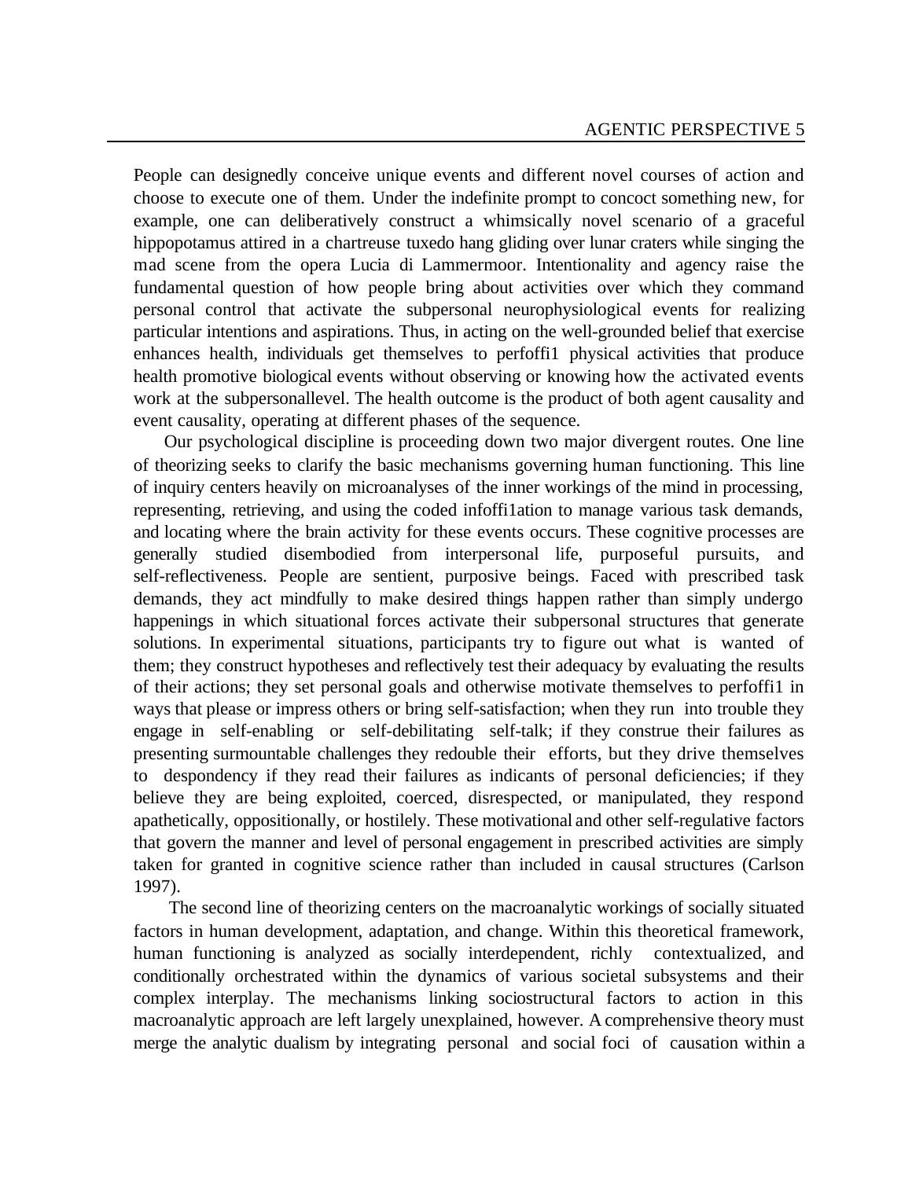People can designedly conceive unique events and different novel courses of action and choose to execute one of them. Under the indefinite prompt to concoct something new, for example, one can deliberatively construct a whimsically novel scenario of a graceful hippopotamus attired in a chartreuse tuxedo hang gliding over lunar craters while singing the mad scene from the opera Lucia di Lammermoor. Intentionality and agency raise the fundamental question of how people bring about activities over which they command personal control that activate the subpersonal neurophysiological events for realizing particular intentions and aspirations. Thus, in acting on the well-grounded belief that exercise enhances health, individuals get themselves to perfoffi1 physical activities that produce health promotive biological events without observing or knowing how the activated events work at the subpersonallevel. The health outcome is the product of both agent causality and event causality, operating at different phases of the sequence.

 Our psychological discipline is proceeding down two major divergent routes. One line of theorizing seeks to clarify the basic mechanisms governing human functioning. This line of inquiry centers heavily on microanalyses of the inner workings of the mind in processing, representing, retrieving, and using the coded infoffi1ation to manage various task demands, and locating where the brain activity for these events occurs. These cognitive processes are generally studied disembodied from interpersonal life, purposeful pursuits, and self-reflectiveness. People are sentient, purposive beings. Faced with prescribed task demands, they act mindfully to make desired things happen rather than simply undergo happenings in which situational forces activate their subpersonal structures that generate solutions. In experimental situations, participants try to figure out what is wanted of them; they construct hypotheses and reflectively test their adequacy by evaluating the results of their actions; they set personal goals and otherwise motivate themselves to perfoffi1 in ways that please or impress others or bring self-satisfaction; when they run into trouble they engage in self-enabling or self-debilitating self-talk; if they construe their failures as presenting surmountable challenges they redouble their efforts, but they drive themselves to despondency if they read their failures as indicants of personal deficiencies; if they believe they are being exploited, coerced, disrespected, or manipulated, they respond apathetically, oppositionally, or hostilely. These motivational and other self-regulative factors that govern the manner and level of personal engagement in prescribed activities are simply taken for granted in cognitive science rather than included in causal structures (Carlson 1997).

 The second line of theorizing centers on the macroanalytic workings of socially situated factors in human development, adaptation, and change. Within this theoretical framework, human functioning is analyzed as socially interdependent, richly contextualized, and conditionally orchestrated within the dynamics of various societal subsystems and their complex interplay. The mechanisms linking sociostructural factors to action in this macroanalytic approach are left largely unexplained, however. A comprehensive theory must merge the analytic dualism by integrating personal and social foci of causation within a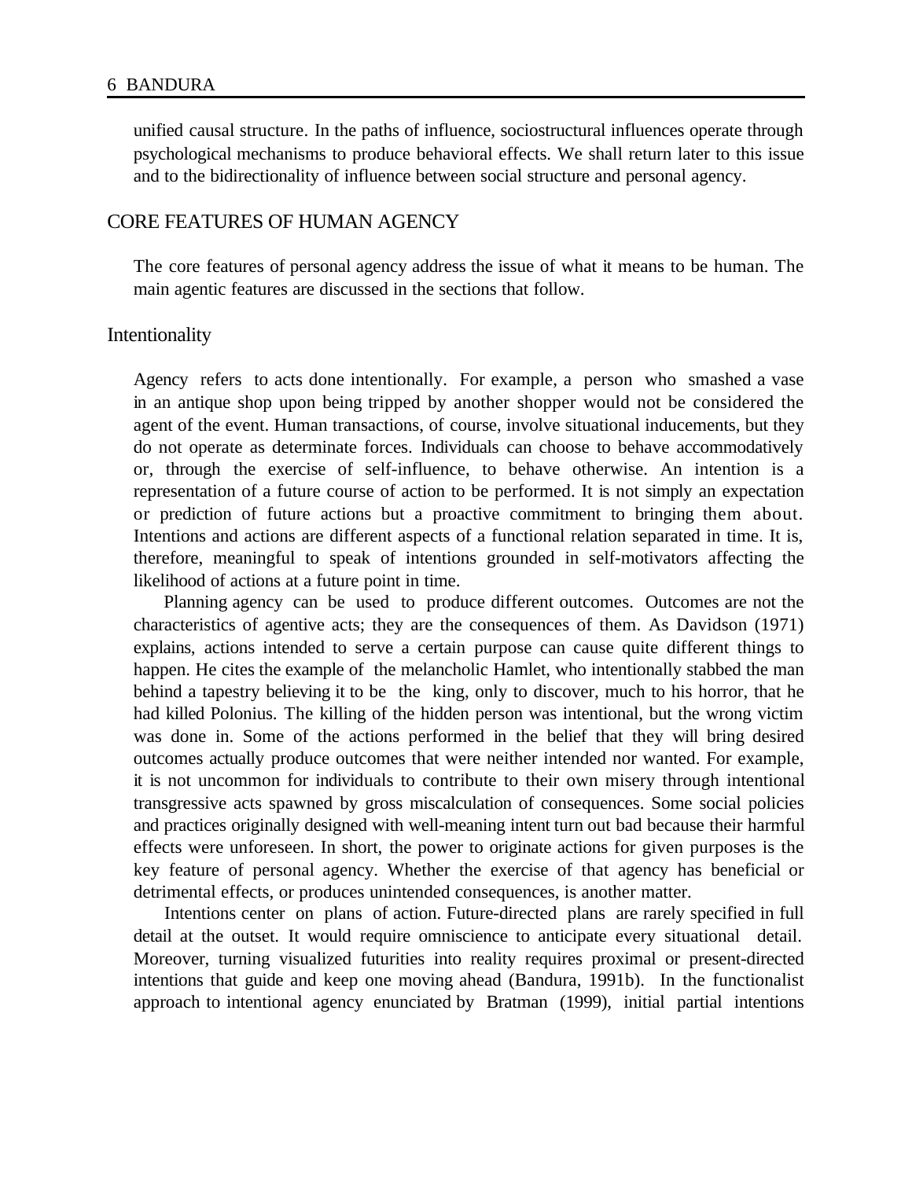unified causal structure. In the paths of influence, sociostructural influences operate through psychological mechanisms to produce behavioral effects. We shall return later to this issue and to the bidirectionality of influence between social structure and personal agency.

# CORE FEATURES OF HUMAN AGENCY

The core features of personal agency address the issue of what it means to be human. The main agentic features are discussed in the sections that follow.

## Intentionality

Agency refers to acts done intentionally. For example, a person who smashed a vase in an antique shop upon being tripped by another shopper would not be considered the agent of the event. Human transactions, of course, involve situational inducements, but they do not operate as determinate forces. Individuals can choose to behave accommodatively or, through the exercise of self-influence, to behave otherwise. An intention is a representation of a future course of action to be performed. It is not simply an expectation or prediction of future actions but a proactive commitment to bringing them about. Intentions and actions are different aspects of a functional relation separated in time. It is, therefore, meaningful to speak of intentions grounded in self-motivators affecting the likelihood of actions at a future point in time.

 Planning agency can be used to produce different outcomes. Outcomes are not the characteristics of agentive acts; they are the consequences of them. As Davidson (1971) explains, actions intended to serve a certain purpose can cause quite different things to happen. He cites the example of the melancholic Hamlet, who intentionally stabbed the man behind a tapestry believing it to be the king, only to discover, much to his horror, that he had killed Polonius. The killing of the hidden person was intentional, but the wrong victim was done in. Some of the actions performed in the belief that they will bring desired outcomes actually produce outcomes that were neither intended nor wanted. For example, it is not uncommon for individuals to contribute to their own misery through intentional transgressive acts spawned by gross miscalculation of consequences. Some social policies and practices originally designed with well-meaning intent turn out bad because their harmful effects were unforeseen. In short, the power to originate actions for given purposes is the key feature of personal agency. Whether the exercise of that agency has beneficial or detrimental effects, or produces unintended consequences, is another matter.

 Intentions center on plans of action. Future-directed plans are rarely specified in full detail at the outset. It would require omniscience to anticipate every situational detail. Moreover, turning visualized futurities into reality requires proximal or present-directed intentions that guide and keep one moving ahead (Bandura, 1991b). In the functionalist approach to intentional agency enunciated by Bratman (1999), initial partial intentions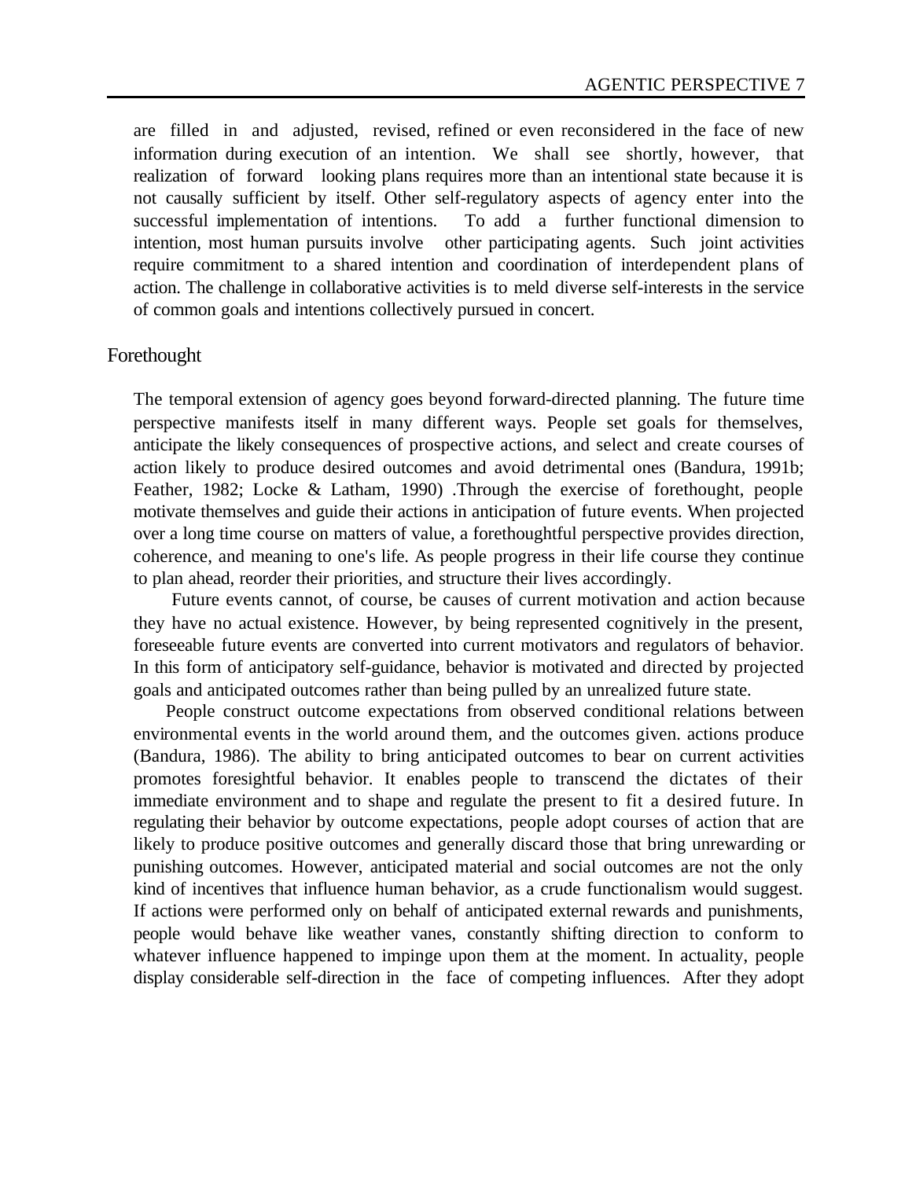are filled in and adjusted, revised, refined or even reconsidered in the face of new information during execution of an intention. We shall see shortly, however, that realization of forward looking plans requires more than an intentional state because it is not causally sufficient by itself. Other self-regulatory aspects of agency enter into the successful implementation of intentions. To add a further functional dimension to intention, most human pursuits involve other participating agents. Such joint activities require commitment to a shared intention and coordination of interdependent plans of action. The challenge in collaborative activities is to meld diverse self-interests in the service of common goals and intentions collectively pursued in concert.

## Forethought

The temporal extension of agency goes beyond forward-directed planning. The future time perspective manifests itself in many different ways. People set goals for themselves, anticipate the likely consequences of prospective actions, and select and create courses of action likely to produce desired outcomes and avoid detrimental ones (Bandura, 1991b; Feather, 1982; Locke & Latham, 1990) .Through the exercise of forethought, people motivate themselves and guide their actions in anticipation of future events. When projected over a long time course on matters of value, a forethoughtful perspective provides direction, coherence, and meaning to one's life. As people progress in their life course they continue to plan ahead, reorder their priorities, and structure their lives accordingly.

 Future events cannot, of course, be causes of current motivation and action because they have no actual existence. However, by being represented cognitively in the present, foreseeable future events are converted into current motivators and regulators of behavior. In this form of anticipatory self-guidance, behavior is motivated and directed by projected goals and anticipated outcomes rather than being pulled by an unrealized future state.

 People construct outcome expectations from observed conditional relations between environmental events in the world around them, and the outcomes given. actions produce (Bandura, 1986). The ability to bring anticipated outcomes to bear on current activities promotes foresightful behavior. It enables people to transcend the dictates of their immediate environment and to shape and regulate the present to fit a desired future. In regulating their behavior by outcome expectations, people adopt courses of action that are likely to produce positive outcomes and generally discard those that bring unrewarding or punishing outcomes. However, anticipated material and social outcomes are not the only kind of incentives that influence human behavior, as a crude functionalism would suggest. If actions were performed only on behalf of anticipated external rewards and punishments, people would behave like weather vanes, constantly shifting direction to conform to whatever influence happened to impinge upon them at the moment. In actuality, people display considerable self-direction in the face of competing influences. After they adopt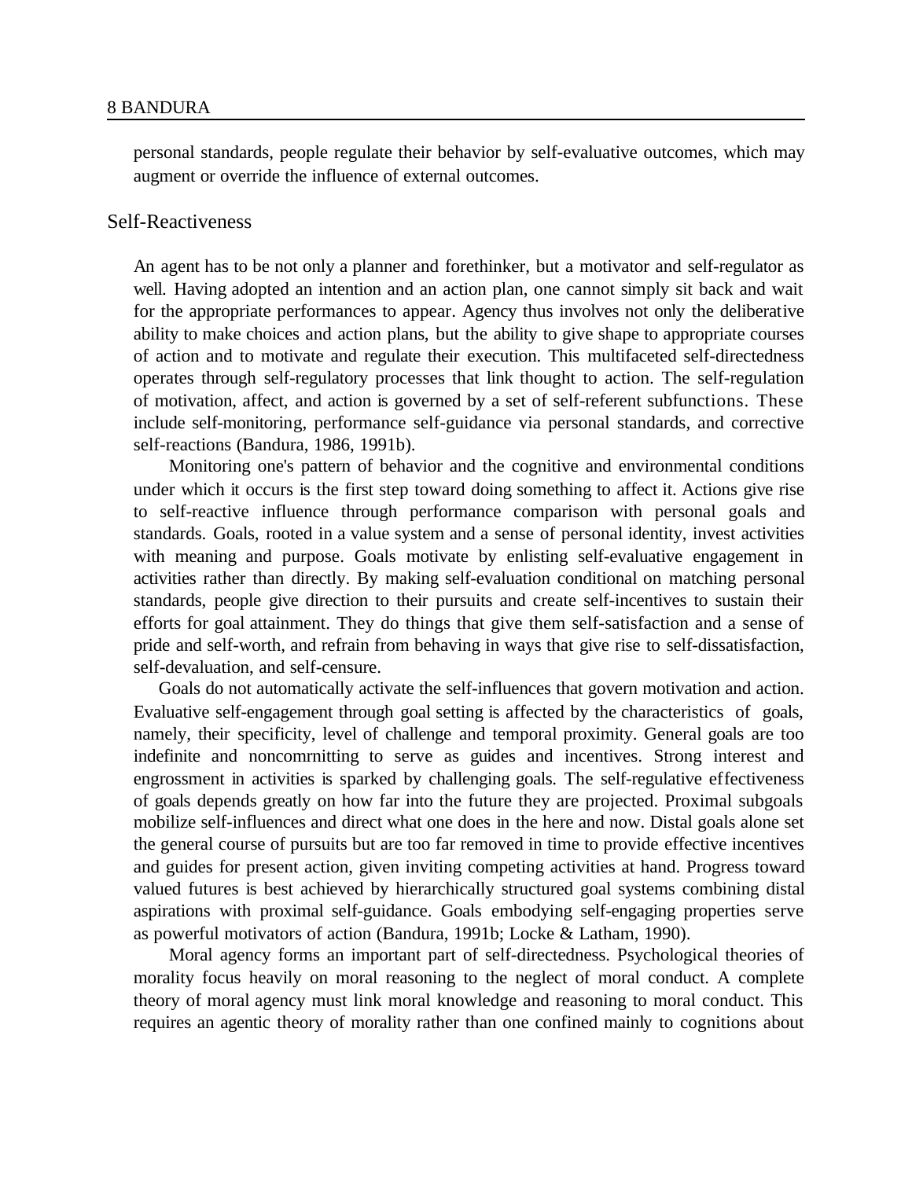personal standards, people regulate their behavior by self-evaluative outcomes, which may augment or override the influence of external outcomes.

#### Self-Reactiveness

An agent has to be not only a planner and forethinker, but a motivator and self-regulator as well. Having adopted an intention and an action plan, one cannot simply sit back and wait for the appropriate performances to appear. Agency thus involves not only the deliberative ability to make choices and action plans, but the ability to give shape to appropriate courses of action and to motivate and regulate their execution. This multifaceted self-directedness operates through self-regulatory processes that link thought to action. The self-regulation of motivation, affect, and action is governed by a set of self-referent subfunctions. These include self-monitoring, performance self-guidance via personal standards, and corrective self-reactions (Bandura, 1986, 1991b).

 Monitoring one's pattern of behavior and the cognitive and environmental conditions under which it occurs is the first step toward doing something to affect it. Actions give rise to self-reactive influence through performance comparison with personal goals and standards. Goals, rooted in a value system and a sense of personal identity, invest activities with meaning and purpose. Goals motivate by enlisting self-evaluative engagement in activities rather than directly. By making self-evaluation conditional on matching personal standards, people give direction to their pursuits and create self-incentives to sustain their efforts for goal attainment. They do things that give them self-satisfaction and a sense of pride and self-worth, and refrain from behaving in ways that give rise to self-dissatisfaction, self-devaluation, and self-censure.

 Goals do not automatically activate the self-influences that govern motivation and action. Evaluative self-engagement through goal setting is affected by the characteristics of goals, namely, their specificity, level of challenge and temporal proximity. General goals are too indefinite and noncomrnitting to serve as guides and incentives. Strong interest and engrossment in activities is sparked by challenging goals. The self-regulative effectiveness of goals depends greatly on how far into the future they are projected. Proximal subgoals mobilize self-influences and direct what one does in the here and now. Distal goals alone set the general course of pursuits but are too far removed in time to provide effective incentives and guides for present action, given inviting competing activities at hand. Progress toward valued futures is best achieved by hierarchically structured goal systems combining distal aspirations with proximal self-guidance. Goals embodying self-engaging properties serve as powerful motivators of action (Bandura, 1991b; Locke & Latham, 1990).

 Moral agency forms an important part of self-directedness. Psychological theories of morality focus heavily on moral reasoning to the neglect of moral conduct. A complete theory of moral agency must link moral knowledge and reasoning to moral conduct. This requires an agentic theory of morality rather than one confined mainly to cognitions about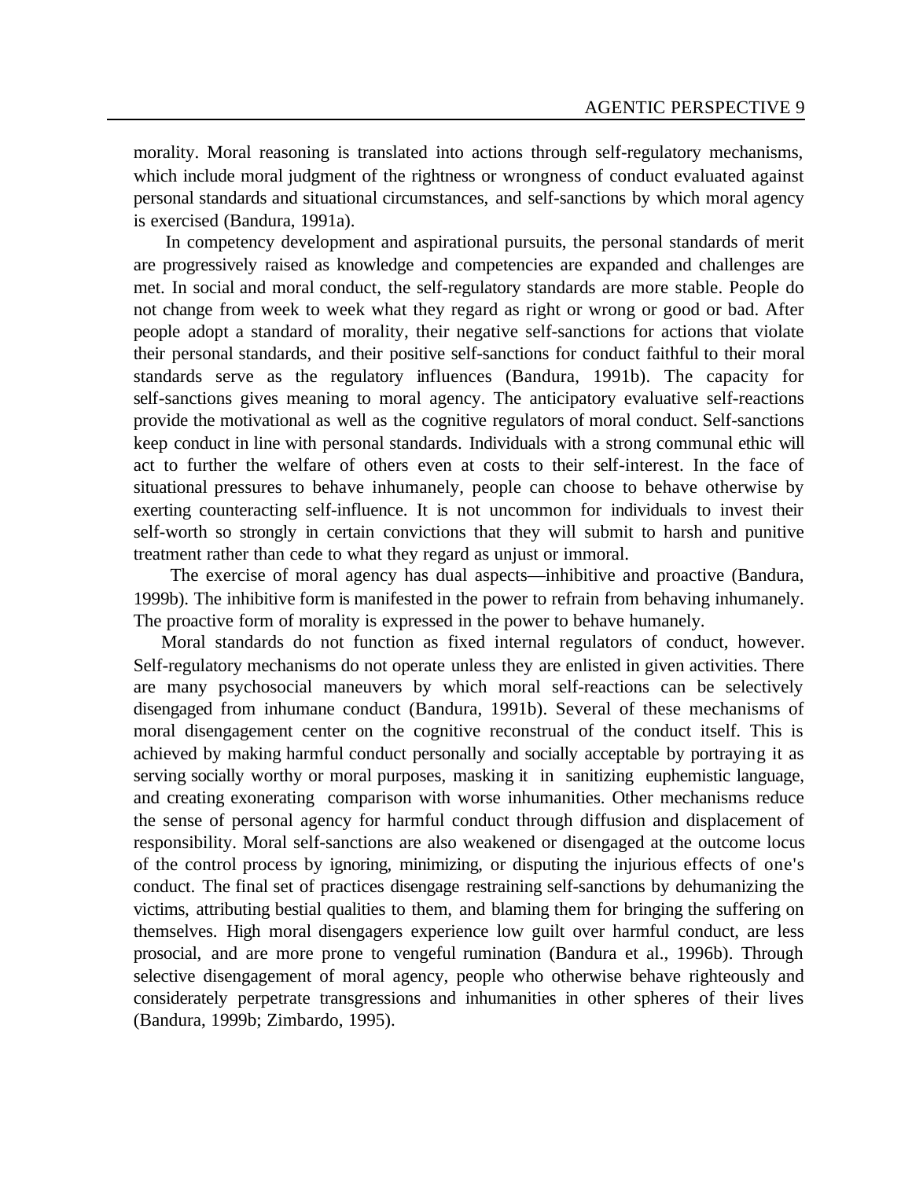morality. Moral reasoning is translated into actions through self-regulatory mechanisms, which include moral judgment of the rightness or wrongness of conduct evaluated against personal standards and situational circumstances, and self-sanctions by which moral agency is exercised (Bandura, 1991a).

 In competency development and aspirational pursuits, the personal standards of merit are progressively raised as knowledge and competencies are expanded and challenges are met. In social and moral conduct, the self-regulatory standards are more stable. People do not change from week to week what they regard as right or wrong or good or bad. After people adopt a standard of morality, their negative self-sanctions for actions that violate their personal standards, and their positive self-sanctions for conduct faithful to their moral standards serve as the regulatory influences (Bandura, 1991b). The capacity for self-sanctions gives meaning to moral agency. The anticipatory evaluative self-reactions provide the motivational as well as the cognitive regulators of moral conduct. Self-sanctions keep conduct in line with personal standards. Individuals with a strong communal ethic will act to further the welfare of others even at costs to their self-interest. In the face of situational pressures to behave inhumanely, people can choose to behave otherwise by exerting counteracting self-influence. It is not uncommon for individuals to invest their self-worth so strongly in certain convictions that they will submit to harsh and punitive treatment rather than cede to what they regard as unjust or immoral.

 The exercise of moral agency has dual aspects—inhibitive and proactive (Bandura, 1999b). The inhibitive form is manifested in the power to refrain from behaving inhumanely. The proactive form of morality is expressed in the power to behave humanely.

 Moral standards do not function as fixed internal regulators of conduct, however. Self-regulatory mechanisms do not operate unless they are enlisted in given activities. There are many psychosocial maneuvers by which moral self-reactions can be selectively disengaged from inhumane conduct (Bandura, 1991b). Several of these mechanisms of moral disengagement center on the cognitive reconstrual of the conduct itself. This is achieved by making harmful conduct personally and socially acceptable by portraying it as serving socially worthy or moral purposes, masking it in sanitizing euphemistic language, and creating exonerating comparison with worse inhumanities. Other mechanisms reduce the sense of personal agency for harmful conduct through diffusion and displacement of responsibility. Moral self-sanctions are also weakened or disengaged at the outcome locus of the control process by ignoring, minimizing, or disputing the injurious effects of one's conduct. The final set of practices disengage restraining self-sanctions by dehumanizing the victims, attributing bestial qualities to them, and blaming them for bringing the suffering on themselves. High moral disengagers experience low guilt over harmful conduct, are less prosocial, and are more prone to vengeful rumination (Bandura et al., 1996b). Through selective disengagement of moral agency, people who otherwise behave righteously and considerately perpetrate transgressions and inhumanities in other spheres of their lives (Bandura, 1999b; Zimbardo, 1995).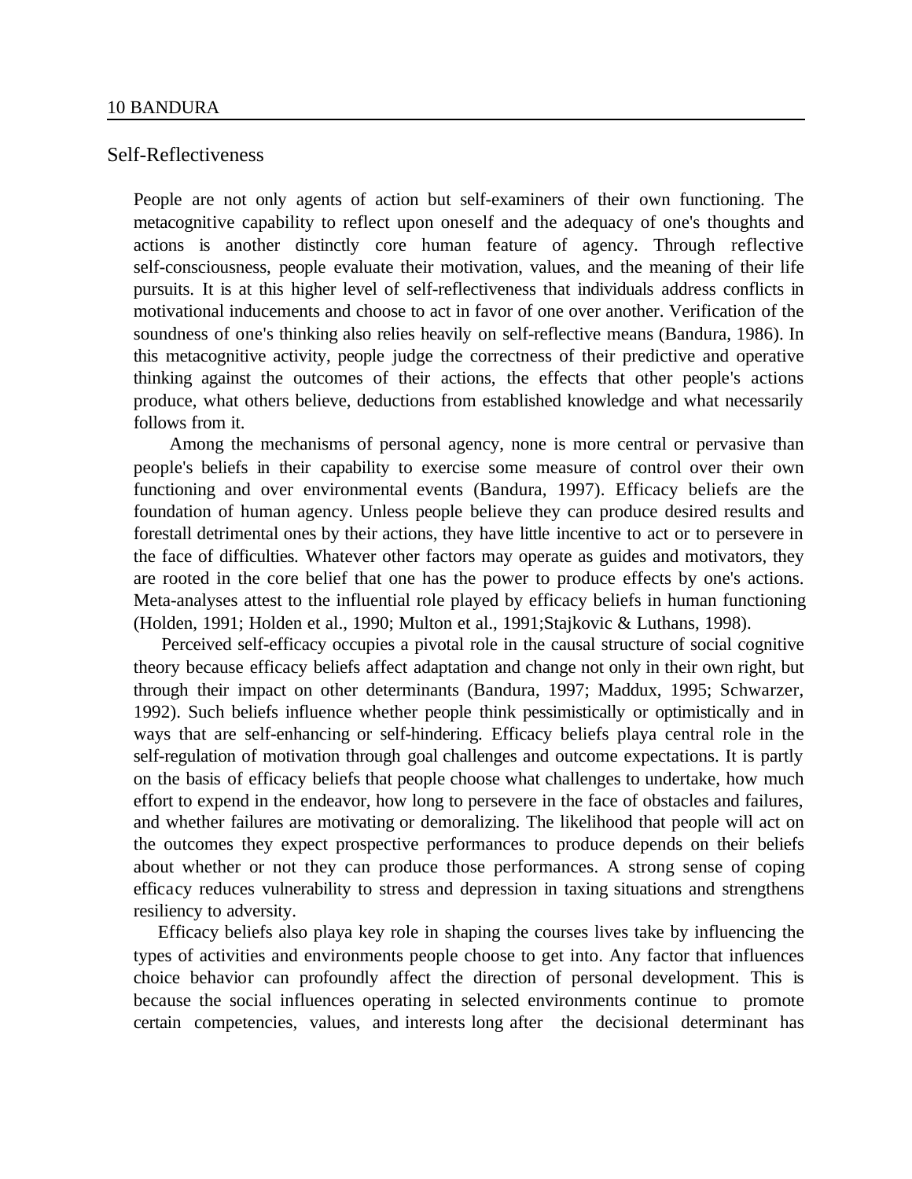## Self-Reflectiveness

People are not only agents of action but self-examiners of their own functioning. The metacognitive capability to reflect upon oneself and the adequacy of one's thoughts and actions is another distinctly core human feature of agency. Through reflective self-consciousness, people evaluate their motivation, values, and the meaning of their life pursuits. It is at this higher level of self-reflectiveness that individuals address conflicts in motivational inducements and choose to act in favor of one over another. Verification of the soundness of one's thinking also relies heavily on self-reflective means (Bandura, 1986). In this metacognitive activity, people judge the correctness of their predictive and operative thinking against the outcomes of their actions, the effects that other people's actions produce, what others believe, deductions from established knowledge and what necessarily follows from it.

 Among the mechanisms of personal agency, none is more central or pervasive than people's beliefs in their capability to exercise some measure of control over their own functioning and over environmental events (Bandura, 1997). Efficacy beliefs are the foundation of human agency. Unless people believe they can produce desired results and forestall detrimental ones by their actions, they have little incentive to act or to persevere in the face of difficulties. Whatever other factors may operate as guides and motivators, they are rooted in the core belief that one has the power to produce effects by one's actions. Meta-analyses attest to the influential role played by efficacy beliefs in human functioning (Holden, 1991; Holden et al., 1990; Multon et al., 1991;Stajkovic & Luthans, 1998).

 Perceived self-efficacy occupies a pivotal role in the causal structure of social cognitive theory because efficacy beliefs affect adaptation and change not only in their own right, but through their impact on other determinants (Bandura, 1997; Maddux, 1995; Schwarzer, 1992). Such beliefs influence whether people think pessimistically or optimistically and in ways that are self-enhancing or self-hindering. Efficacy beliefs playa central role in the self-regulation of motivation through goal challenges and outcome expectations. It is partly on the basis of efficacy beliefs that people choose what challenges to undertake, how much effort to expend in the endeavor, how long to persevere in the face of obstacles and failures, and whether failures are motivating or demoralizing. The likelihood that people will act on the outcomes they expect prospective performances to produce depends on their beliefs about whether or not they can produce those performances. A strong sense of coping efficacy reduces vulnerability to stress and depression in taxing situations and strengthens resiliency to adversity.

 Efficacy beliefs also playa key role in shaping the courses lives take by influencing the types of activities and environments people choose to get into. Any factor that influences choice behavior can profoundly affect the direction of personal development. This is because the social influences operating in selected environments continue to promote certain competencies, values, and interests long after the decisional determinant has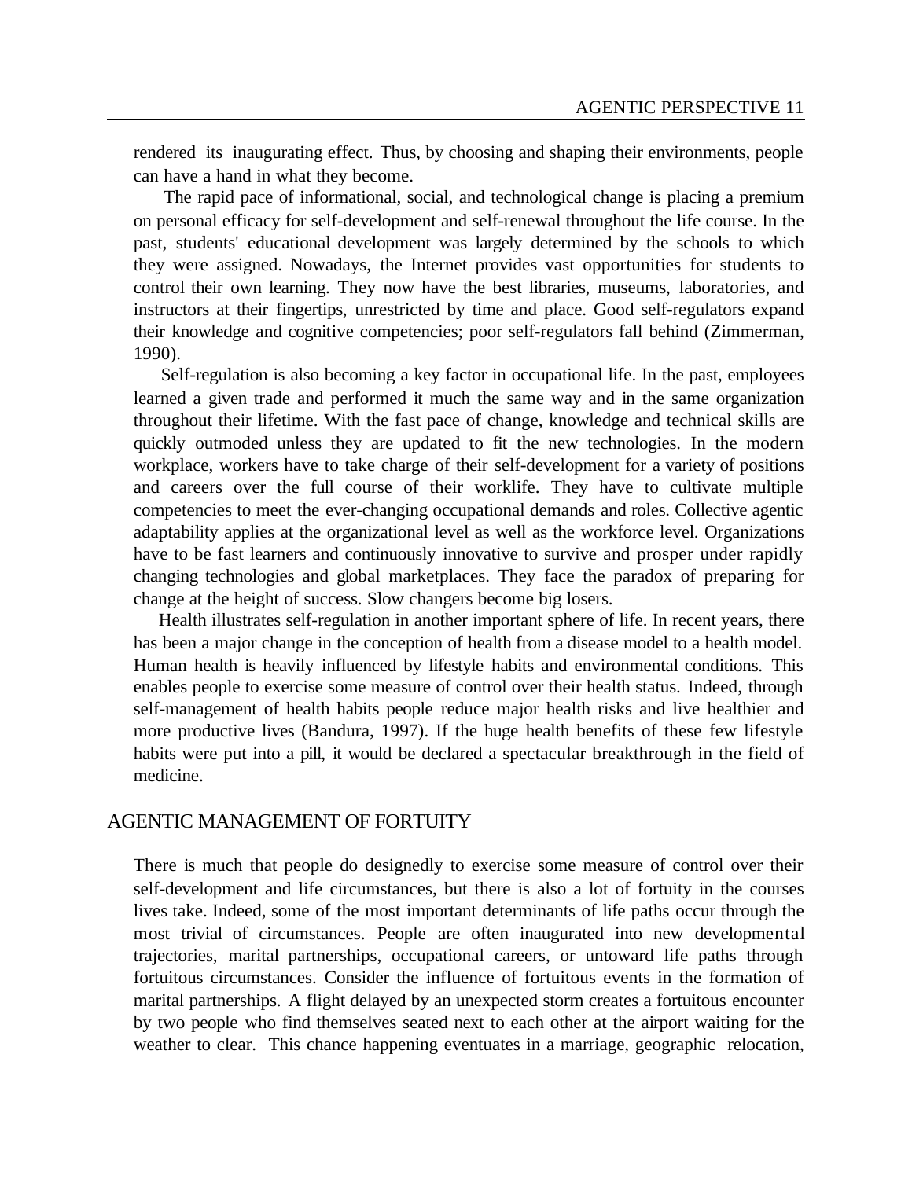rendered its inaugurating effect. Thus, by choosing and shaping their environments, people can have a hand in what they become.

 The rapid pace of informational, social, and technological change is placing a premium on personal efficacy for self-development and self-renewal throughout the life course. In the past, students' educational development was largely determined by the schools to which they were assigned. Nowadays, the Internet provides vast opportunities for students to control their own learning. They now have the best libraries, museums, laboratories, and instructors at their fingertips, unrestricted by time and place. Good self-regulators expand their knowledge and cognitive competencies; poor self-regulators fall behind (Zimmerman, 1990).

 Self-regulation is also becoming a key factor in occupational life. In the past, employees learned a given trade and performed it much the same way and in the same organization throughout their lifetime. With the fast pace of change, knowledge and technical skills are quickly outmoded unless they are updated to fit the new technologies. In the modern workplace, workers have to take charge of their self-development for a variety of positions and careers over the full course of their worklife. They have to cultivate multiple competencies to meet the ever-changing occupational demands and roles. Collective agentic adaptability applies at the organizational level as well as the workforce level. Organizations have to be fast learners and continuously innovative to survive and prosper under rapidly changing technologies and global marketplaces. They face the paradox of preparing for change at the height of success. Slow changers become big losers.

 Health illustrates self-regulation in another important sphere of life. In recent years, there has been a major change in the conception of health from a disease model to a health model. Human health is heavily influenced by lifestyle habits and environmental conditions. This enables people to exercise some measure of control over their health status. Indeed, through self-management of health habits people reduce major health risks and live healthier and more productive lives (Bandura, 1997). If the huge health benefits of these few lifestyle habits were put into a pill, it would be declared a spectacular breakthrough in the field of medicine.

## AGENTIC MANAGEMENT OF FORTUITY

There is much that people do designedly to exercise some measure of control over their self-development and life circumstances, but there is also a lot of fortuity in the courses lives take. Indeed, some of the most important determinants of life paths occur through the most trivial of circumstances. People are often inaugurated into new developmental trajectories, marital partnerships, occupational careers, or untoward life paths through fortuitous circumstances. Consider the influence of fortuitous events in the formation of marital partnerships. A flight delayed by an unexpected storm creates a fortuitous encounter by two people who find themselves seated next to each other at the airport waiting for the weather to clear. This chance happening eventuates in a marriage, geographic relocation,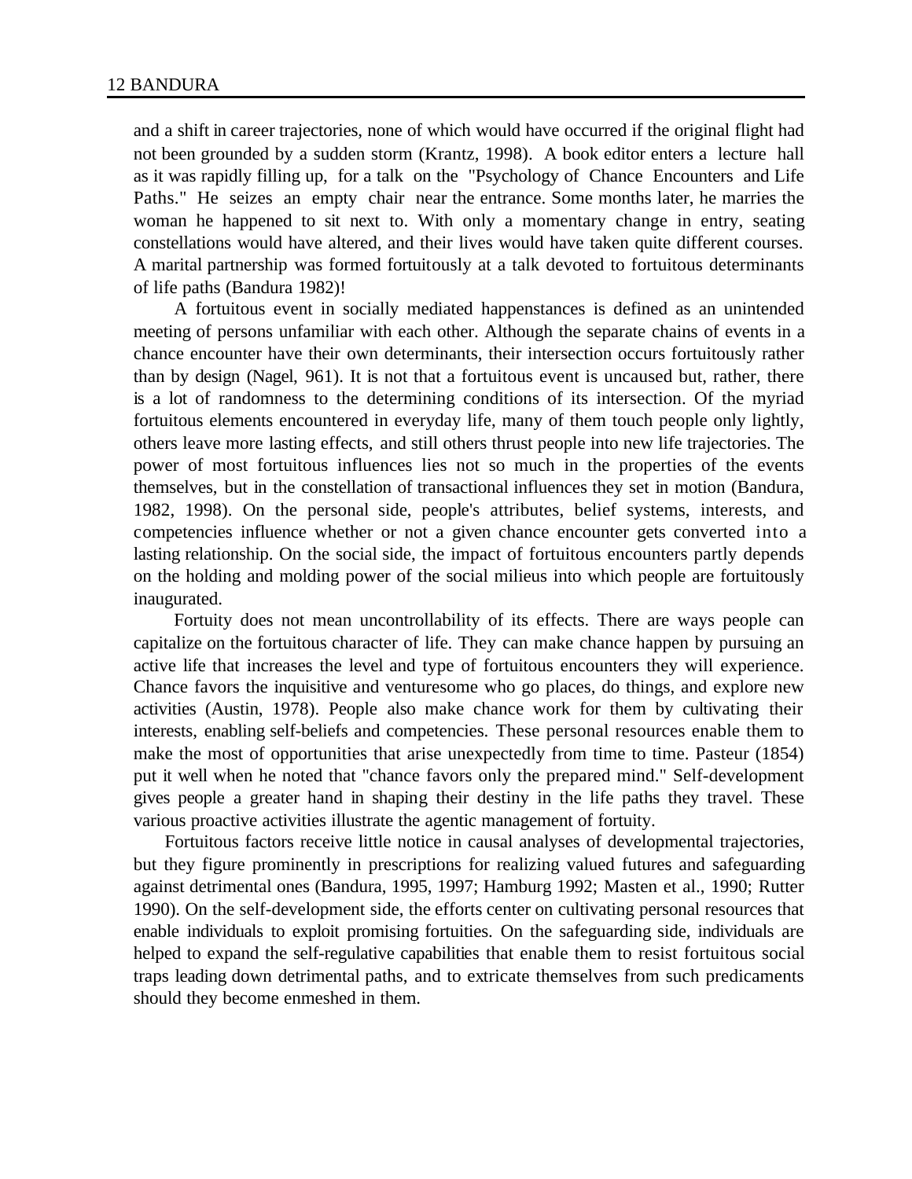and a shift in career trajectories, none of which would have occurred if the original flight had not been grounded by a sudden storm (Krantz, 1998). A book editor enters a lecture hall as it was rapidly filling up, for a talk on the "Psychology of Chance Encounters and Life Paths." He seizes an empty chair near the entrance. Some months later, he marries the woman he happened to sit next to. With only a momentary change in entry, seating constellations would have altered, and their lives would have taken quite different courses. A marital partnership was formed fortuitously at a talk devoted to fortuitous determinants of life paths (Bandura 1982)!

 A fortuitous event in socially mediated happenstances is defined as an unintended meeting of persons unfamiliar with each other. Although the separate chains of events in a chance encounter have their own determinants, their intersection occurs fortuitously rather than by design (Nagel, 961). It is not that a fortuitous event is uncaused but, rather, there is a lot of randomness to the determining conditions of its intersection. Of the myriad fortuitous elements encountered in everyday life, many of them touch people only lightly, others leave more lasting effects, and still others thrust people into new life trajectories. The power of most fortuitous influences lies not so much in the properties of the events themselves, but in the constellation of transactional influences they set in motion (Bandura, 1982, 1998). On the personal side, people's attributes, belief systems, interests, and competencies influence whether or not a given chance encounter gets converted into a lasting relationship. On the social side, the impact of fortuitous encounters partly depends on the holding and molding power of the social milieus into which people are fortuitously inaugurated.

 Fortuity does not mean uncontrollability of its effects. There are ways people can capitalize on the fortuitous character of life. They can make chance happen by pursuing an active life that increases the level and type of fortuitous encounters they will experience. Chance favors the inquisitive and venturesome who go places, do things, and explore new activities (Austin, 1978). People also make chance work for them by cultivating their interests, enabling self-beliefs and competencies. These personal resources enable them to make the most of opportunities that arise unexpectedly from time to time. Pasteur (1854) put it well when he noted that "chance favors only the prepared mind." Self-development gives people a greater hand in shaping their destiny in the life paths they travel. These various proactive activities illustrate the agentic management of fortuity.

 Fortuitous factors receive little notice in causal analyses of developmental trajectories, but they figure prominently in prescriptions for realizing valued futures and safeguarding against detrimental ones (Bandura, 1995, 1997; Hamburg 1992; Masten et al., 1990; Rutter 1990). On the self-development side, the efforts center on cultivating personal resources that enable individuals to exploit promising fortuities. On the safeguarding side, individuals are helped to expand the self-regulative capabilities that enable them to resist fortuitous social traps leading down detrimental paths, and to extricate themselves from such predicaments should they become enmeshed in them.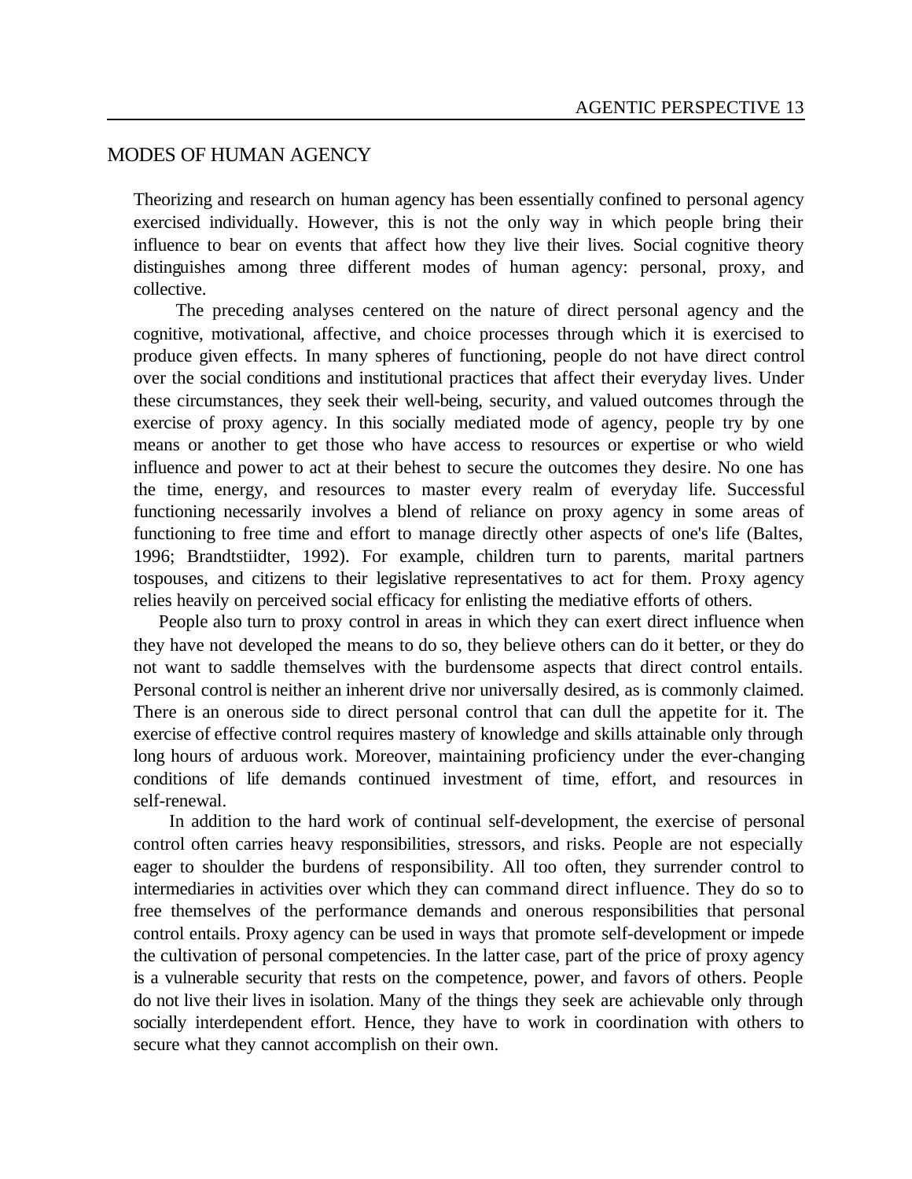## MODES OF HUMAN AGENCY

Theorizing and research on human agency has been essentially confined to personal agency exercised individually. However, this is not the only way in which people bring their influence to bear on events that affect how they live their lives. Social cognitive theory distinguishes among three different modes of human agency: personal, proxy, and collective.

 The preceding analyses centered on the nature of direct personal agency and the cognitive, motivational, affective, and choice processes through which it is exercised to produce given effects. In many spheres of functioning, people do not have direct control over the social conditions and institutional practices that affect their everyday lives. Under these circumstances, they seek their well-being, security, and valued outcomes through the exercise of proxy agency. In this socially mediated mode of agency, people try by one means or another to get those who have access to resources or expertise or who wield influence and power to act at their behest to secure the outcomes they desire. No one has the time, energy, and resources to master every realm of everyday life. Successful functioning necessarily involves a blend of reliance on proxy agency in some areas of functioning to free time and effort to manage directly other aspects of one's life (Baltes, 1996; Brandtstiidter, 1992). For example, children turn to parents, marital partners tospouses, and citizens to their legislative representatives to act for them. Proxy agency relies heavily on perceived social efficacy for enlisting the mediative efforts of others.

 People also turn to proxy control in areas in which they can exert direct influence when they have not developed the means to do so, they believe others can do it better, or they do not want to saddle themselves with the burdensome aspects that direct control entails. Personal control is neither an inherent drive nor universally desired, as is commonly claimed. There is an onerous side to direct personal control that can dull the appetite for it. The exercise of effective control requires mastery of knowledge and skills attainable only through long hours of arduous work. Moreover, maintaining proficiency under the ever-changing conditions of life demands continued investment of time, effort, and resources in self-renewal.

 In addition to the hard work of continual self-development, the exercise of personal control often carries heavy responsibilities, stressors, and risks. People are not especially eager to shoulder the burdens of responsibility. All too often, they surrender control to intermediaries in activities over which they can command direct influence. They do so to free themselves of the performance demands and onerous responsibilities that personal control entails. Proxy agency can be used in ways that promote self-development or impede the cultivation of personal competencies. In the latter case, part of the price of proxy agency is a vulnerable security that rests on the competence, power, and favors of others. People do not live their lives in isolation. Many of the things they seek are achievable only through socially interdependent effort. Hence, they have to work in coordination with others to secure what they cannot accomplish on their own.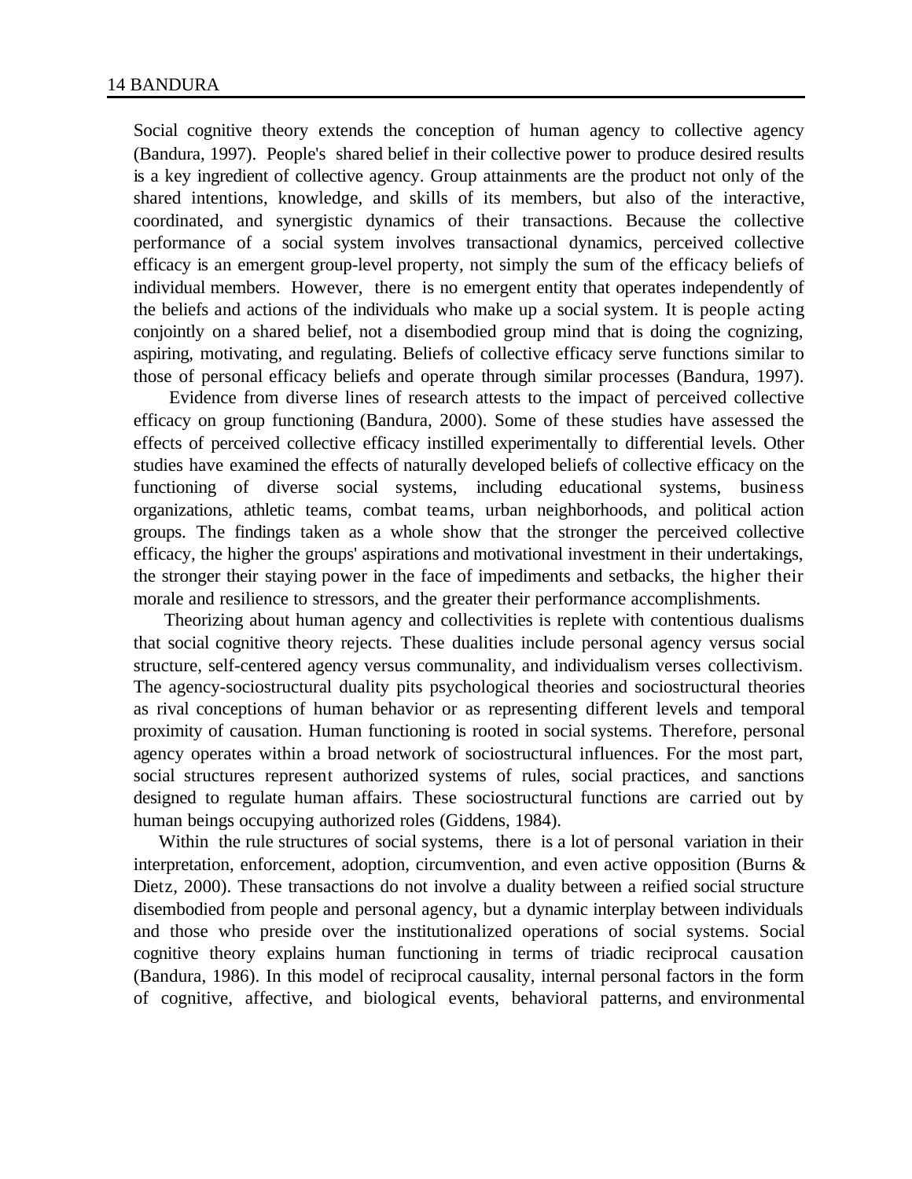Social cognitive theory extends the conception of human agency to collective agency (Bandura, 1997). People's shared belief in their collective power to produce desired results is a key ingredient of collective agency. Group attainments are the product not only of the shared intentions, knowledge, and skills of its members, but also of the interactive, coordinated, and synergistic dynamics of their transactions. Because the collective performance of a social system involves transactional dynamics, perceived collective efficacy is an emergent group-level property, not simply the sum of the efficacy beliefs of individual members. However, there is no emergent entity that operates independently of the beliefs and actions of the individuals who make up a social system. It is people acting conjointly on a shared belief, not a disembodied group mind that is doing the cognizing, aspiring, motivating, and regulating. Beliefs of collective efficacy serve functions similar to those of personal efficacy beliefs and operate through similar processes (Bandura, 1997).

 Evidence from diverse lines of research attests to the impact of perceived collective efficacy on group functioning (Bandura, 2000). Some of these studies have assessed the effects of perceived collective efficacy instilled experimentally to differential levels. Other studies have examined the effects of naturally developed beliefs of collective efficacy on the functioning of diverse social systems, including educational systems, business organizations, athletic teams, combat teams, urban neighborhoods, and political action groups. The findings taken as a whole show that the stronger the perceived collective efficacy, the higher the groups' aspirations and motivational investment in their undertakings, the stronger their staying power in the face of impediments and setbacks, the higher their morale and resilience to stressors, and the greater their performance accomplishments.

 Theorizing about human agency and collectivities is replete with contentious dualisms that social cognitive theory rejects. These dualities include personal agency versus social structure, self-centered agency versus communality, and individualism verses collectivism. The agency-sociostructural duality pits psychological theories and sociostructural theories as rival conceptions of human behavior or as representing different levels and temporal proximity of causation. Human functioning is rooted in social systems. Therefore, personal agency operates within a broad network of sociostructural influences. For the most part, social structures represent authorized systems of rules, social practices, and sanctions designed to regulate human affairs. These sociostructural functions are carried out by human beings occupying authorized roles (Giddens, 1984).

 Within the rule structures of social systems, there is a lot of personal variation in their interpretation, enforcement, adoption, circumvention, and even active opposition (Burns & Dietz, 2000). These transactions do not involve a duality between a reified social structure disembodied from people and personal agency, but a dynamic interplay between individuals and those who preside over the institutionalized operations of social systems. Social cognitive theory explains human functioning in terms of triadic reciprocal causation (Bandura, 1986). In this model of reciprocal causality, internal personal factors in the form of cognitive, affective, and biological events, behavioral patterns, and environmental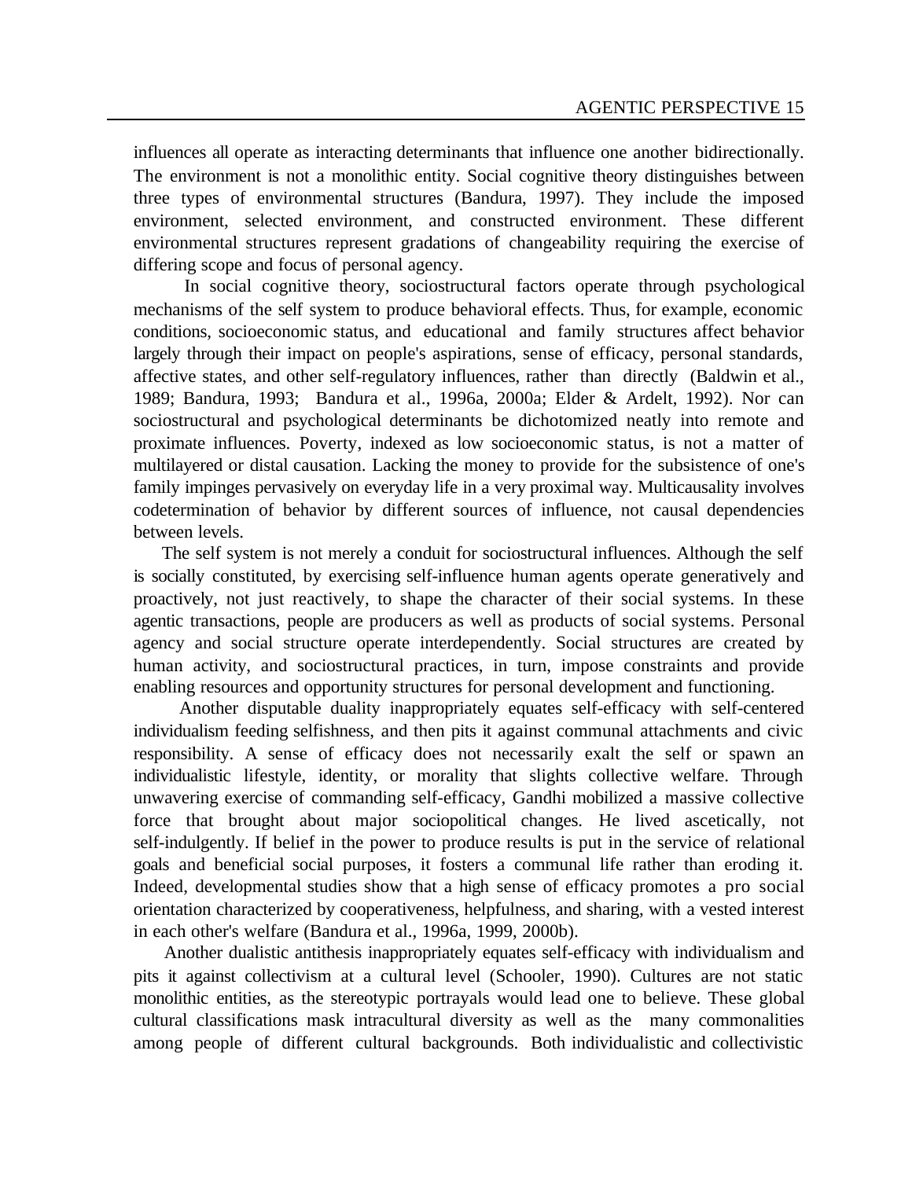influences all operate as interacting determinants that influence one another bidirectionally. The environment is not a monolithic entity. Social cognitive theory distinguishes between three types of environmental structures (Bandura, 1997). They include the imposed environment, selected environment, and constructed environment. These different environmental structures represent gradations of changeability requiring the exercise of differing scope and focus of personal agency.

 In social cognitive theory, sociostructural factors operate through psychological mechanisms of the self system to produce behavioral effects. Thus, for example, economic conditions, socioeconomic status, and educational and family structures affect behavior largely through their impact on people's aspirations, sense of efficacy, personal standards, affective states, and other self-regulatory influences, rather than directly (Baldwin et al., 1989; Bandura, 1993; Bandura et al., 1996a, 2000a; Elder & Ardelt, 1992). Nor can sociostructural and psychological determinants be dichotomized neatly into remote and proximate influences. Poverty, indexed as low socioeconomic status, is not a matter of multilayered or distal causation. Lacking the money to provide for the subsistence of one's family impinges pervasively on everyday life in a very proximal way. Multicausality involves codetermination of behavior by different sources of influence, not causal dependencies between levels.

 The self system is not merely a conduit for sociostructural influences. Although the self is socially constituted, by exercising self-influence human agents operate generatively and proactively, not just reactively, to shape the character of their social systems. In these agentic transactions, people are producers as well as products of social systems. Personal agency and social structure operate interdependently. Social structures are created by human activity, and sociostructural practices, in turn, impose constraints and provide enabling resources and opportunity structures for personal development and functioning.

 Another disputable duality inappropriately equates self-efficacy with self-centered individualism feeding selfishness, and then pits it against communal attachments and civic responsibility. A sense of efficacy does not necessarily exalt the self or spawn an individualistic lifestyle, identity, or morality that slights collective welfare. Through unwavering exercise of commanding self-efficacy, Gandhi mobilized a massive collective force that brought about major sociopolitical changes. He lived ascetically, not self-indulgently. If belief in the power to produce results is put in the service of relational goals and beneficial social purposes, it fosters a communal life rather than eroding it. Indeed, developmental studies show that a high sense of efficacy promotes a pro social orientation characterized by cooperativeness, helpfulness, and sharing, with a vested interest in each other's welfare (Bandura et al., 1996a, 1999, 2000b).

 Another dualistic antithesis inappropriately equates self-efficacy with individualism and pits it against collectivism at a cultural level (Schooler, 1990). Cultures are not static monolithic entities, as the stereotypic portrayals would lead one to believe. These global cultural classifications mask intracultural diversity as well as the many commonalities among people of different cultural backgrounds. Both individualistic and collectivistic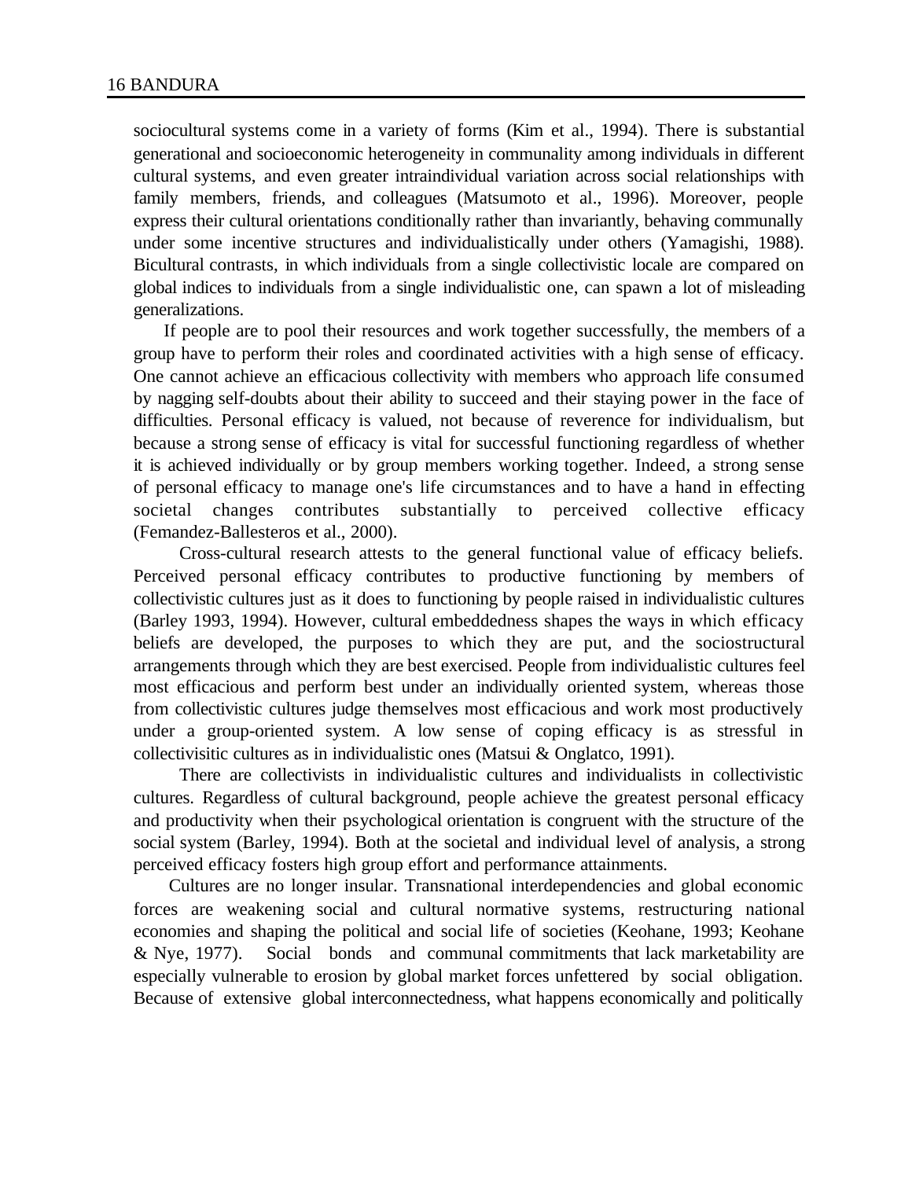sociocultural systems come in a variety of forms (Kim et al., 1994). There is substantial generational and socioeconomic heterogeneity in communality among individuals in different cultural systems, and even greater intraindividual variation across social relationships with family members, friends, and colleagues (Matsumoto et al., 1996). Moreover, people express their cultural orientations conditionally rather than invariantly, behaving communally under some incentive structures and individualistically under others (Yamagishi, 1988). Bicultural contrasts, in which individuals from a single collectivistic locale are compared on global indices to individuals from a single individualistic one, can spawn a lot of misleading generalizations.

 If people are to pool their resources and work together successfully, the members of a group have to perform their roles and coordinated activities with a high sense of efficacy. One cannot achieve an efficacious collectivity with members who approach life consumed by nagging self-doubts about their ability to succeed and their staying power in the face of difficulties. Personal efficacy is valued, not because of reverence for individualism, but because a strong sense of efficacy is vital for successful functioning regardless of whether it is achieved individually or by group members working together. Indeed, a strong sense of personal efficacy to manage one's life circumstances and to have a hand in effecting societal changes contributes substantially to perceived collective efficacy (Femandez-Ballesteros et al., 2000).

 Cross-cultural research attests to the general functional value of efficacy beliefs. Perceived personal efficacy contributes to productive functioning by members of collectivistic cultures just as it does to functioning by people raised in individualistic cultures (Barley 1993, 1994). However, cultural embeddedness shapes the ways in which efficacy beliefs are developed, the purposes to which they are put, and the sociostructural arrangements through which they are best exercised. People from individualistic cultures feel most efficacious and perform best under an individually oriented system, whereas those from collectivistic cultures judge themselves most efficacious and work most productively under a group-oriented system. A low sense of coping efficacy is as stressful in collectivisitic cultures as in individualistic ones (Matsui & Onglatco, 1991).

 There are collectivists in individualistic cultures and individualists in collectivistic cultures. Regardless of cultural background, people achieve the greatest personal efficacy and productivity when their psychological orientation is congruent with the structure of the social system (Barley, 1994). Both at the societal and individual level of analysis, a strong perceived efficacy fosters high group effort and performance attainments.

 Cultures are no longer insular. Transnational interdependencies and global economic forces are weakening social and cultural normative systems, restructuring national economies and shaping the political and social life of societies (Keohane, 1993; Keohane & Nye, 1977). Social bonds and communal commitments that lack marketability are especially vulnerable to erosion by global market forces unfettered by social obligation. Because of extensive global interconnectedness, what happens economically and politically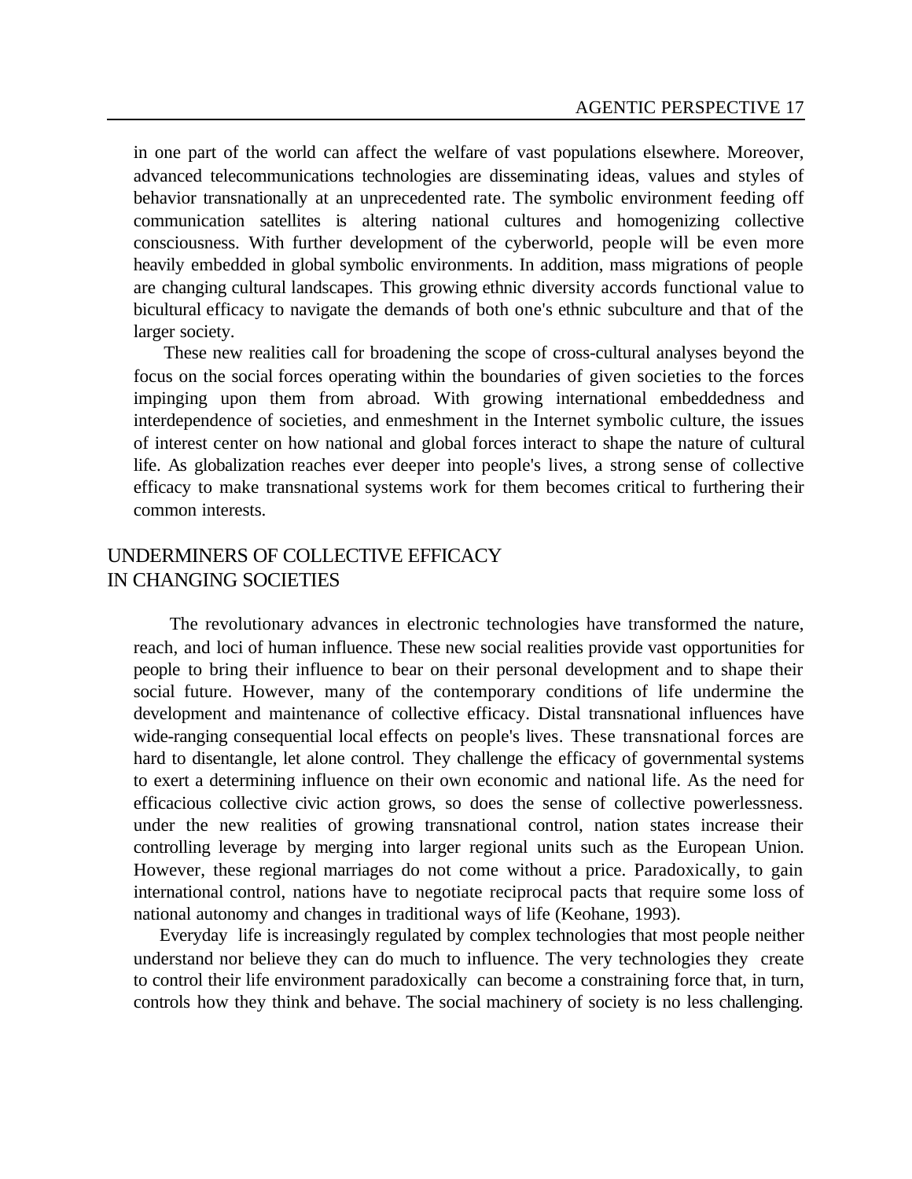in one part of the world can affect the welfare of vast populations elsewhere. Moreover, advanced telecommunications technologies are disseminating ideas, values and styles of behavior transnationally at an unprecedented rate. The symbolic environment feeding off communication satellites is altering national cultures and homogenizing collective consciousness. With further development of the cyberworld, people will be even more heavily embedded in global symbolic environments. In addition, mass migrations of people are changing cultural landscapes. This growing ethnic diversity accords functional value to bicultural efficacy to navigate the demands of both one's ethnic subculture and that of the larger society.

 These new realities call for broadening the scope of cross-cultural analyses beyond the focus on the social forces operating within the boundaries of given societies to the forces impinging upon them from abroad. With growing international embeddedness and interdependence of societies, and enmeshment in the Internet symbolic culture, the issues of interest center on how national and global forces interact to shape the nature of cultural life. As globalization reaches ever deeper into people's lives, a strong sense of collective efficacy to make transnational systems work for them becomes critical to furthering their common interests.

# UNDERMINERS OF COLLECTIVE EFFICACY IN CHANGING SOCIETIES

 The revolutionary advances in electronic technologies have transformed the nature, reach, and loci of human influence. These new social realities provide vast opportunities for people to bring their influence to bear on their personal development and to shape their social future. However, many of the contemporary conditions of life undermine the development and maintenance of collective efficacy. Distal transnational influences have wide-ranging consequential local effects on people's lives. These transnational forces are hard to disentangle, let alone control. They challenge the efficacy of governmental systems to exert a determining influence on their own economic and national life. As the need for efficacious collective civic action grows, so does the sense of collective powerlessness. under the new realities of growing transnational control, nation states increase their controlling leverage by merging into larger regional units such as the European Union. However, these regional marriages do not come without a price. Paradoxically, to gain international control, nations have to negotiate reciprocal pacts that require some loss of national autonomy and changes in traditional ways of life (Keohane, 1993).

 Everyday life is increasingly regulated by complex technologies that most people neither understand nor believe they can do much to influence. The very technologies they create to control their life environment paradoxically can become a constraining force that, in turn, controls how they think and behave. The social machinery of society is no less challenging.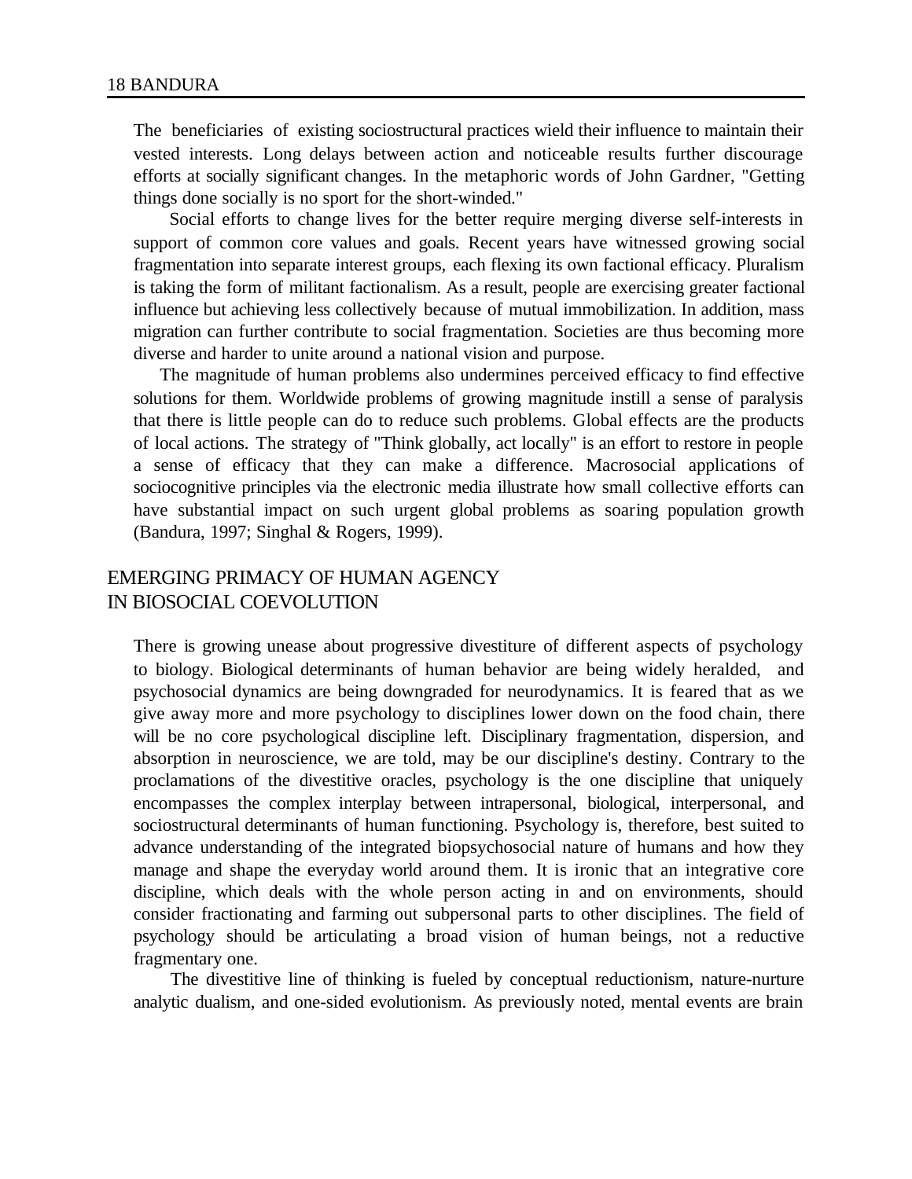The beneficiaries of existing sociostructural practices wield their influence to maintain their vested interests. Long delays between action and noticeable results further discourage efforts at socially significant changes. In the metaphoric words of John Gardner, "Getting things done socially is no sport for the short-winded."

 Social efforts to change lives for the better require merging diverse self-interests in support of common core values and goals. Recent years have witnessed growing social fragmentation into separate interest groups, each flexing its own factional efficacy. Pluralism is taking the form of militant factionalism. As a result, people are exercising greater factional influence but achieving less collectively because of mutual immobilization. In addition, mass migration can further contribute to social fragmentation. Societies are thus becoming more diverse and harder to unite around a national vision and purpose.

 The magnitude of human problems also undermines perceived efficacy to find effective solutions for them. Worldwide problems of growing magnitude instill a sense of paralysis that there is little people can do to reduce such problems. Global effects are the products of local actions. The strategy of "Think globally, act locally" is an effort to restore in people a sense of efficacy that they can make a difference. Macrosocial applications of sociocognitive principles via the electronic media illustrate how small collective efforts can have substantial impact on such urgent global problems as soaring population growth (Bandura, 1997; Singhal & Rogers, 1999).

# EMERGING PRIMACY OF HUMAN AGENCY IN BIOSOCIAL COEVOLUTION

There is growing unease about progressive divestiture of different aspects of psychology to biology. Biological determinants of human behavior are being widely heralded, and psychosocial dynamics are being downgraded for neurodynamics. It is feared that as we give away more and more psychology to disciplines lower down on the food chain, there will be no core psychological discipline left. Disciplinary fragmentation, dispersion, and absorption in neuroscience, we are told, may be our discipline's destiny. Contrary to the proclamations of the divestitive oracles, psychology is the one discipline that uniquely encompasses the complex interplay between intrapersonal, biological, interpersonal, and sociostructural determinants of human functioning. Psychology is, therefore, best suited to advance understanding of the integrated biopsychosocial nature of humans and how they manage and shape the everyday world around them. It is ironic that an integrative core discipline, which deals with the whole person acting in and on environments, should consider fractionating and farming out subpersonal parts to other disciplines. The field of psychology should be articulating a broad vision of human beings, not a reductive fragmentary one.

 The divestitive line of thinking is fueled by conceptual reductionism, nature-nurture analytic dualism, and one-sided evolutionism. As previously noted, mental events are brain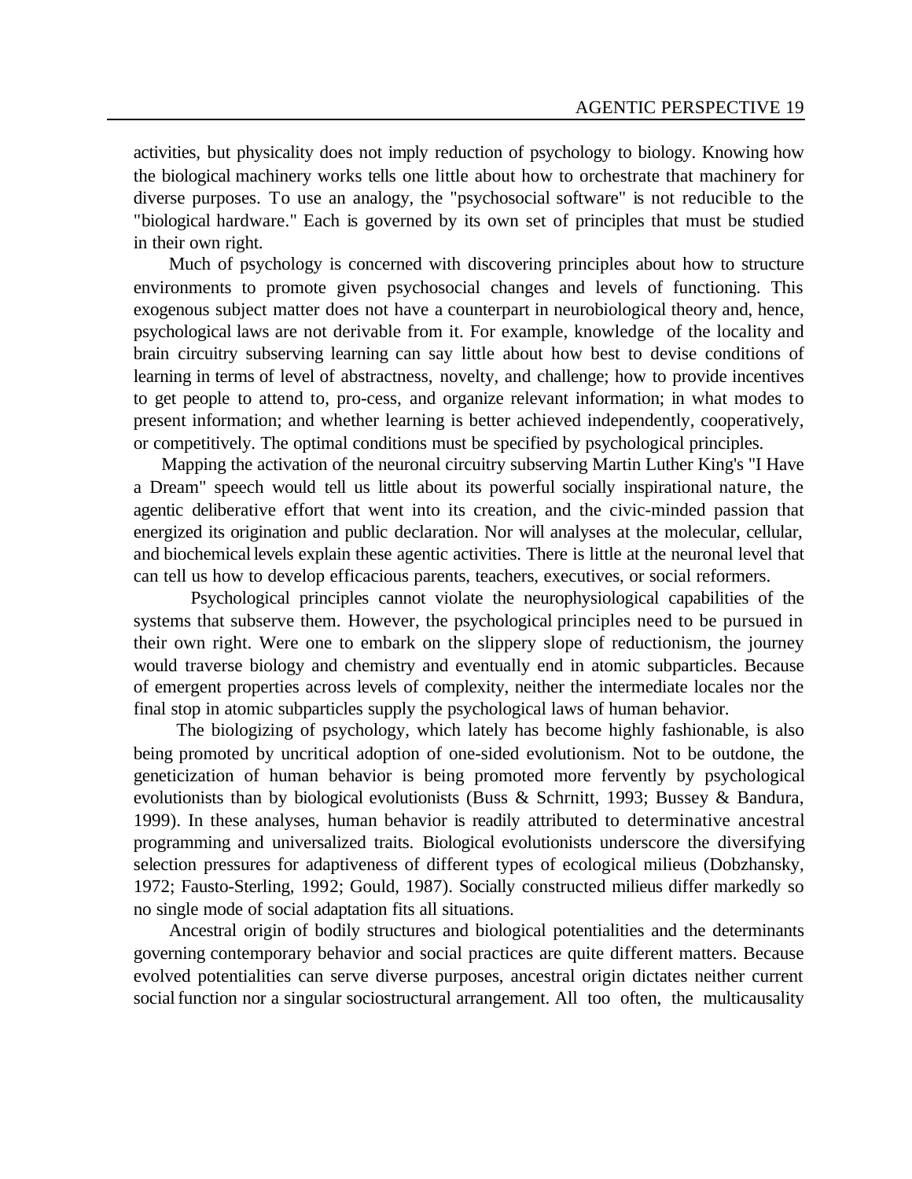activities, but physicality does not imply reduction of psychology to biology. Knowing how the biological machinery works tells one little about how to orchestrate that machinery for diverse purposes. To use an analogy, the "psychosocial software" is not reducible to the "biological hardware." Each is governed by its own set of principles that must be studied in their own right.

 Much of psychology is concerned with discovering principles about how to structure environments to promote given psychosocial changes and levels of functioning. This exogenous subject matter does not have a counterpart in neurobiological theory and, hence, psychological laws are not derivable from it. For example, knowledge of the locality and brain circuitry subserving learning can say little about how best to devise conditions of learning in terms of level of abstractness, novelty, and challenge; how to provide incentives to get people to attend to, pro-cess, and organize relevant information; in what modes to present information; and whether learning is better achieved independently, cooperatively, or competitively. The optimal conditions must be specified by psychological principles.

 Mapping the activation of the neuronal circuitry subserving Martin Luther King's "I Have a Dream" speech would tell us little about its powerful socially inspirational nature, the agentic deliberative effort that went into its creation, and the civic-minded passion that energized its origination and public declaration. Nor will analyses at the molecular, cellular, and biochemical levels explain these agentic activities. There is little at the neuronal level that can tell us how to develop efficacious parents, teachers, executives, or social reformers.

 Psychological principles cannot violate the neurophysiological capabilities of the systems that subserve them. However, the psychological principles need to be pursued in their own right. Were one to embark on the slippery slope of reductionism, the journey would traverse biology and chemistry and eventually end in atomic subparticles. Because of emergent properties across levels of complexity, neither the intermediate locales nor the final stop in atomic subparticles supply the psychological laws of human behavior.

 The biologizing of psychology, which lately has become highly fashionable, is also being promoted by uncritical adoption of one-sided evolutionism. Not to be outdone, the geneticization of human behavior is being promoted more fervently by psychological evolutionists than by biological evolutionists (Buss & Schrnitt, 1993; Bussey & Bandura, 1999). In these analyses, human behavior is readily attributed to determinative ancestral programming and universalized traits. Biological evolutionists underscore the diversifying selection pressures for adaptiveness of different types of ecological milieus (Dobzhansky, 1972; Fausto-Sterling, 1992; Gould, 1987). Socially constructed milieus differ markedly so no single mode of social adaptation fits all situations.

 Ancestral origin of bodily structures and biological potentialities and the determinants governing contemporary behavior and social practices are quite different matters. Because evolved potentialities can serve diverse purposes, ancestral origin dictates neither current social function nor a singular sociostructural arrangement. All too often, the multicausality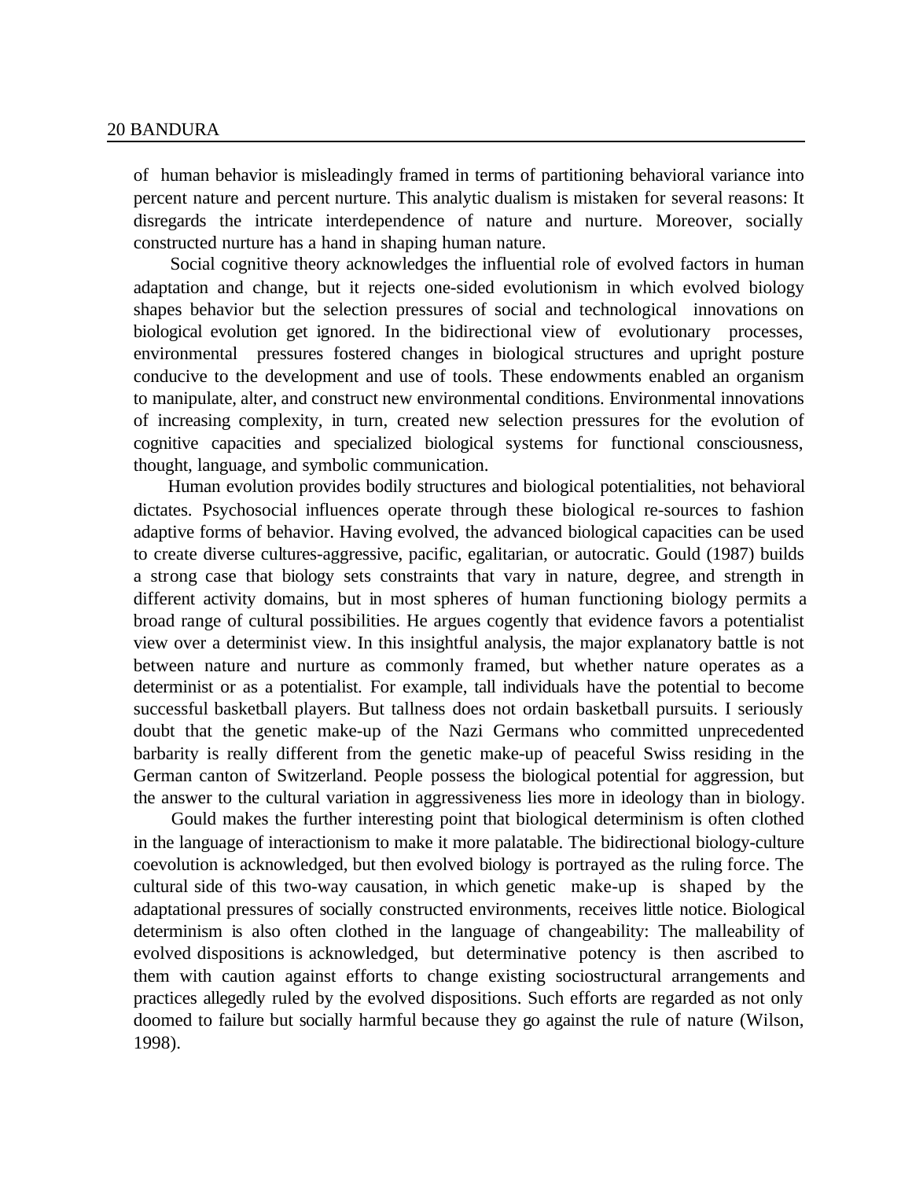of human behavior is misleadingly framed in terms of partitioning behavioral variance into percent nature and percent nurture. This analytic dualism is mistaken for several reasons: It disregards the intricate interdependence of nature and nurture. Moreover, socially constructed nurture has a hand in shaping human nature.

 Social cognitive theory acknowledges the influential role of evolved factors in human adaptation and change, but it rejects one-sided evolutionism in which evolved biology shapes behavior but the selection pressures of social and technological innovations on biological evolution get ignored. In the bidirectional view of evolutionary processes, environmental pressures fostered changes in biological structures and upright posture conducive to the development and use of tools. These endowments enabled an organism to manipulate, alter, and construct new environmental conditions. Environmental innovations of increasing complexity, in turn, created new selection pressures for the evolution of cognitive capacities and specialized biological systems for functional consciousness, thought, language, and symbolic communication.

 Human evolution provides bodily structures and biological potentialities, not behavioral dictates. Psychosocial influences operate through these biological re-sources to fashion adaptive forms of behavior. Having evolved, the advanced biological capacities can be used to create diverse cultures-aggressive, pacific, egalitarian, or autocratic. Gould (1987) builds a strong case that biology sets constraints that vary in nature, degree, and strength in different activity domains, but in most spheres of human functioning biology permits a broad range of cultural possibilities. He argues cogently that evidence favors a potentialist view over a determinist view. In this insightful analysis, the major explanatory battle is not between nature and nurture as commonly framed, but whether nature operates as a determinist or as a potentialist. For example, tall individuals have the potential to become successful basketball players. But tallness does not ordain basketball pursuits. I seriously doubt that the genetic make-up of the Nazi Germans who committed unprecedented barbarity is really different from the genetic make-up of peaceful Swiss residing in the German canton of Switzerland. People possess the biological potential for aggression, but the answer to the cultural variation in aggressiveness lies more in ideology than in biology.

 Gould makes the further interesting point that biological determinism is often clothed in the language of interactionism to make it more palatable. The bidirectional biology-culture coevolution is acknowledged, but then evolved biology is portrayed as the ruling force. The cultural side of this two-way causation, in which genetic make-up is shaped by the adaptational pressures of socially constructed environments, receives little notice. Biological determinism is also often clothed in the language of changeability: The malleability of evolved dispositions is acknowledged, but determinative potency is then ascribed to them with caution against efforts to change existing sociostructural arrangements and practices allegedly ruled by the evolved dispositions. Such efforts are regarded as not only doomed to failure but socially harmful because they go against the rule of nature (Wilson, 1998).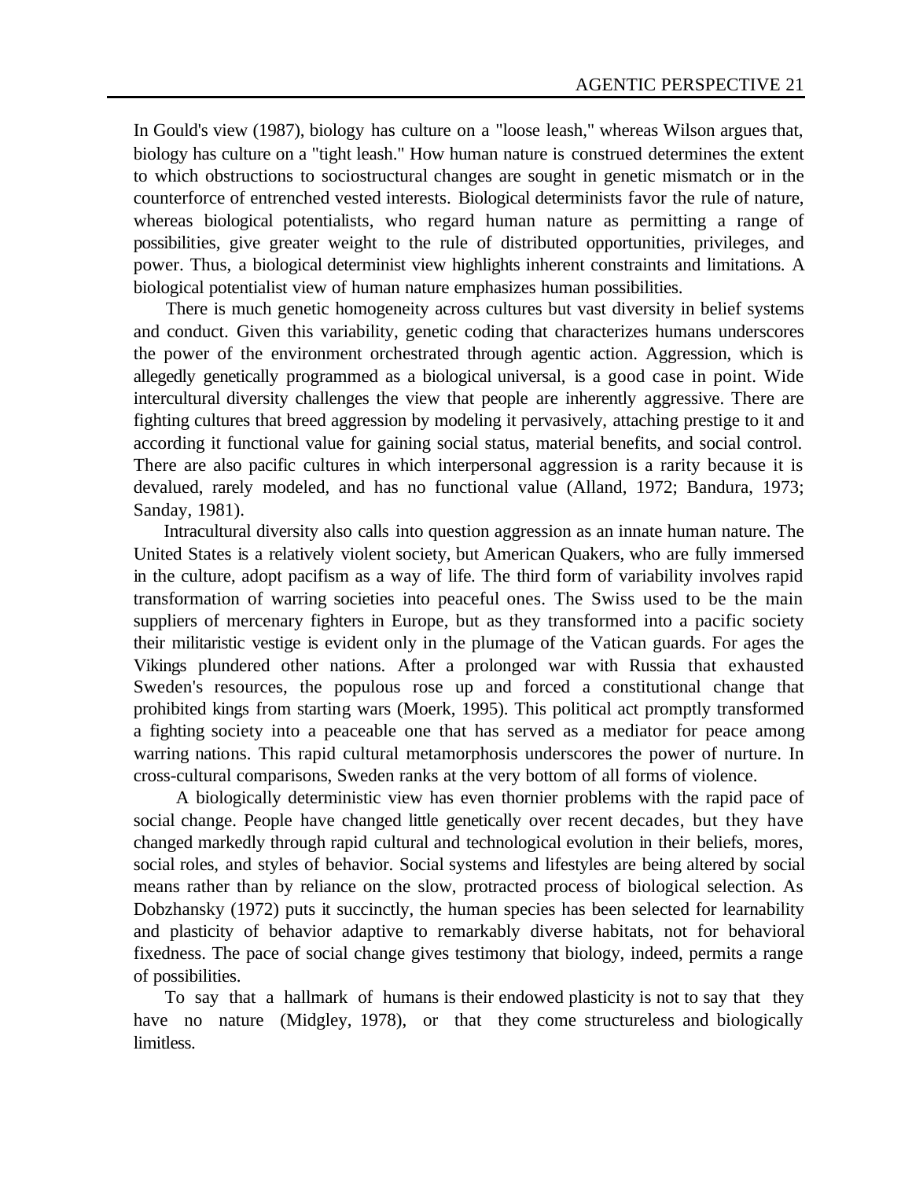In Gould's view (1987), biology has culture on a "loose leash," whereas Wilson argues that, biology has culture on a "tight leash." How human nature is construed determines the extent to which obstructions to sociostructural changes are sought in genetic mismatch or in the counterforce of entrenched vested interests. Biological determinists favor the rule of nature, whereas biological potentialists, who regard human nature as permitting a range of possibilities, give greater weight to the rule of distributed opportunities, privileges, and power. Thus, a biological determinist view highlights inherent constraints and limitations. A biological potentialist view of human nature emphasizes human possibilities.

 There is much genetic homogeneity across cultures but vast diversity in belief systems and conduct. Given this variability, genetic coding that characterizes humans underscores the power of the environment orchestrated through agentic action. Aggression, which is allegedly genetically programmed as a biological universal, is a good case in point. Wide intercultural diversity challenges the view that people are inherently aggressive. There are fighting cultures that breed aggression by modeling it pervasively, attaching prestige to it and according it functional value for gaining social status, material benefits, and social control. There are also pacific cultures in which interpersonal aggression is a rarity because it is devalued, rarely modeled, and has no functional value (Alland, 1972; Bandura, 1973; Sanday, 1981).

 Intracultural diversity also calls into question aggression as an innate human nature. The United States is a relatively violent society, but American Quakers, who are fully immersed in the culture, adopt pacifism as a way of life. The third form of variability involves rapid transformation of warring societies into peaceful ones. The Swiss used to be the main suppliers of mercenary fighters in Europe, but as they transformed into a pacific society their militaristic vestige is evident only in the plumage of the Vatican guards. For ages the Vikings plundered other nations. After a prolonged war with Russia that exhausted Sweden's resources, the populous rose up and forced a constitutional change that prohibited kings from starting wars (Moerk, 1995). This political act promptly transformed a fighting society into a peaceable one that has served as a mediator for peace among warring nations. This rapid cultural metamorphosis underscores the power of nurture. In cross-cultural comparisons, Sweden ranks at the very bottom of all forms of violence.

 A biologically deterministic view has even thornier problems with the rapid pace of social change. People have changed little genetically over recent decades, but they have changed markedly through rapid cultural and technological evolution in their beliefs, mores, social roles, and styles of behavior. Social systems and lifestyles are being altered by social means rather than by reliance on the slow, protracted process of biological selection. As Dobzhansky (1972) puts it succinctly, the human species has been selected for learnability and plasticity of behavior adaptive to remarkably diverse habitats, not for behavioral fixedness. The pace of social change gives testimony that biology, indeed, permits a range of possibilities.

 To say that a hallmark of humans is their endowed plasticity is not to say that they have no nature (Midgley, 1978), or that they come structureless and biologically limitless.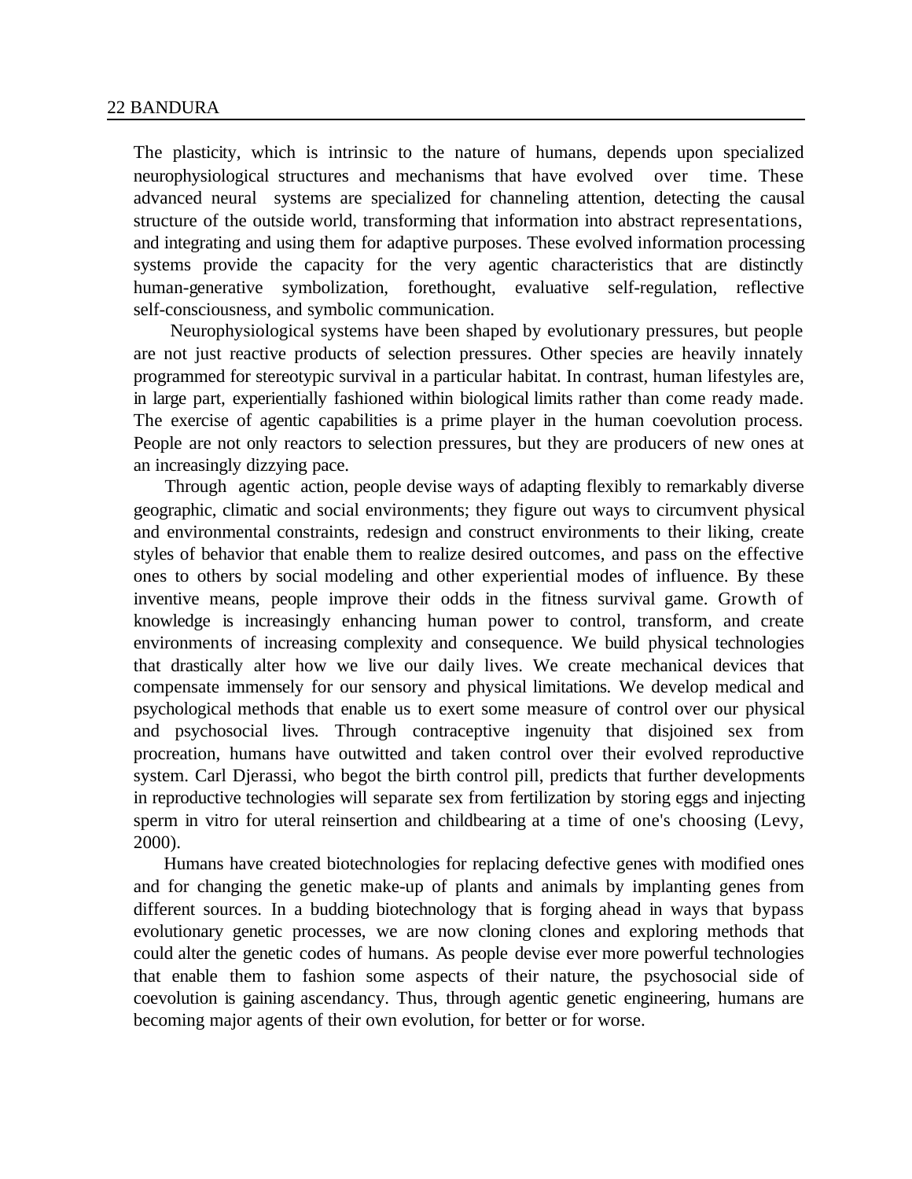#### 22 BANDURA

The plasticity, which is intrinsic to the nature of humans, depends upon specialized neurophysiological structures and mechanisms that have evolved over time. These advanced neural systems are specialized for channeling attention, detecting the causal structure of the outside world, transforming that information into abstract representations, and integrating and using them for adaptive purposes. These evolved information processing systems provide the capacity for the very agentic characteristics that are distinctly human-generative symbolization, forethought, evaluative self-regulation, reflective self-consciousness, and symbolic communication.

 Neurophysiological systems have been shaped by evolutionary pressures, but people are not just reactive products of selection pressures. Other species are heavily innately programmed for stereotypic survival in a particular habitat. In contrast, human lifestyles are, in large part, experientially fashioned within biological limits rather than come ready made. The exercise of agentic capabilities is a prime player in the human coevolution process. People are not only reactors to selection pressures, but they are producers of new ones at an increasingly dizzying pace.

 Through agentic action, people devise ways of adapting flexibly to remarkably diverse geographic, climatic and social environments; they figure out ways to circumvent physical and environmental constraints, redesign and construct environments to their liking, create styles of behavior that enable them to realize desired outcomes, and pass on the effective ones to others by social modeling and other experiential modes of influence. By these inventive means, people improve their odds in the fitness survival game. Growth of knowledge is increasingly enhancing human power to control, transform, and create environments of increasing complexity and consequence. We build physical technologies that drastically alter how we live our daily lives. We create mechanical devices that compensate immensely for our sensory and physical limitations. We develop medical and psychological methods that enable us to exert some measure of control over our physical and psychosocial lives. Through contraceptive ingenuity that disjoined sex from procreation, humans have outwitted and taken control over their evolved reproductive system. Carl Djerassi, who begot the birth control pill, predicts that further developments in reproductive technologies will separate sex from fertilization by storing eggs and injecting sperm in vitro for uteral reinsertion and childbearing at a time of one's choosing (Levy, 2000).

 Humans have created biotechnologies for replacing defective genes with modified ones and for changing the genetic make-up of plants and animals by implanting genes from different sources. In a budding biotechnology that is forging ahead in ways that bypass evolutionary genetic processes, we are now cloning clones and exploring methods that could alter the genetic codes of humans. As people devise ever more powerful technologies that enable them to fashion some aspects of their nature, the psychosocial side of coevolution is gaining ascendancy. Thus, through agentic genetic engineering, humans are becoming major agents of their own evolution, for better or for worse.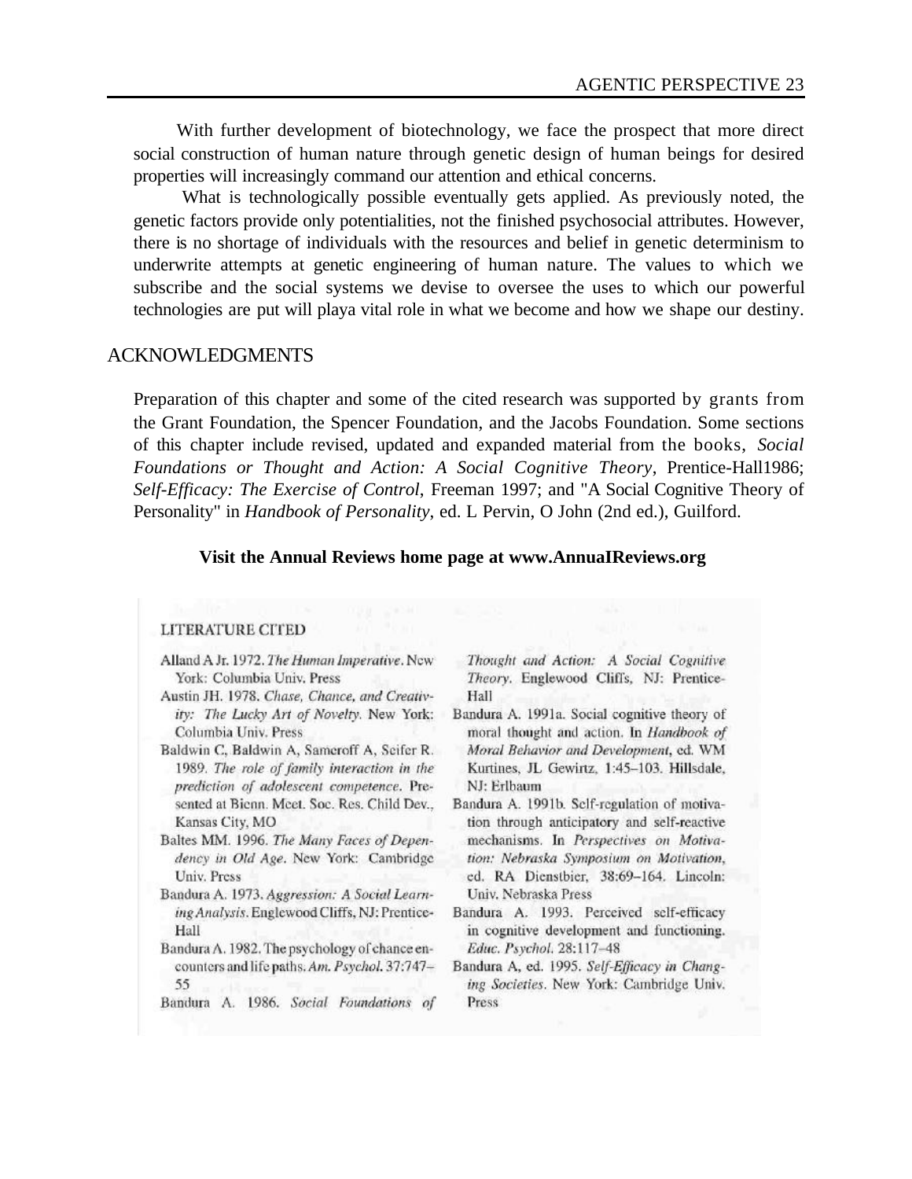With further development of biotechnology, we face the prospect that more direct social construction of human nature through genetic design of human beings for desired properties will increasingly command our attention and ethical concerns.

 What is technologically possible eventually gets applied. As previously noted, the genetic factors provide only potentialities, not the finished psychosocial attributes. However, there is no shortage of individuals with the resources and belief in genetic determinism to underwrite attempts at genetic engineering of human nature. The values to which we subscribe and the social systems we devise to oversee the uses to which our powerful technologies are put will playa vital role in what we become and how we shape our destiny.

#### ACKNOWLEDGMENTS

Preparation of this chapter and some of the cited research was supported by grants from the Grant Foundation, the Spencer Foundation, and the Jacobs Foundation. Some sections of this chapter include revised, updated and expanded material from the books, *Social Foundations or Thought and Action: A Social Cognitive Theory*, Prentice-Hall1986; *Self-Efficacy: The Exercise of Control*, Freeman 1997; and "A Social Cognitive Theory of Personality" in *Handbook of Personality*, ed. L Pervin, O John (2nd ed.), Guilford.

#### **Visit the Annual Reviews home page at www.AnnuaIReviews.org**

#### **LITERATURE CITED**

- Alland A Jr. 1972. The Human Imperative. New York: Columbia Univ. Press
- Austin JH. 1978. Chase, Chance, and Creativity: The Lucky Art of Novelty. New York: Columbia Univ. Press
- Baldwin C, Baldwin A, Sameroff A, Seifer R. 1989. The role of family interaction in the prediction of adolescent competence. Presented at Bienn. Meet. Soc. Res. Child Dev., Kansas City, MO
- Baltes MM. 1996. The Many Faces of Dependency in Old Age. New York: Cambridge Univ. Press
- Bandura A. 1973. Aggression: A Social Learning Analysis. Englewood Cliffs, NJ: Prentice-Hall
- Bandura A. 1982. The psychology of chance encounters and life paths. Am. Psychol. 37:747-55
- Bandura A. 1986. Social Foundations of

Thought and Action: A Social Cognitive Theory. Englewood Cliffs, NJ: Prentice-Hall

- Bandura A. 1991a. Social cognitive theory of moral thought and action. In Handbook of Moral Behavior and Development, ed. WM Kurtines, JL Gewirtz, 1:45-103. Hillsdale, NJ: Erlbaum
- Bandura A. 1991b. Self-regulation of motivation through anticipatory and self-reactive mechanisms. In Perspectives on Motivation: Nebraska Symposium on Motivation, ed. RA Dienstbier, 38:69-164. Lincoln: Univ. Nebraska Press
- Bandura A. 1993. Perceived self-efficacy in cognitive development and functioning. Educ. Psychol. 28:117-48
- Bandura A, ed. 1995. Self-Efficacy in Changing Societies. New York: Cambridge Univ. Press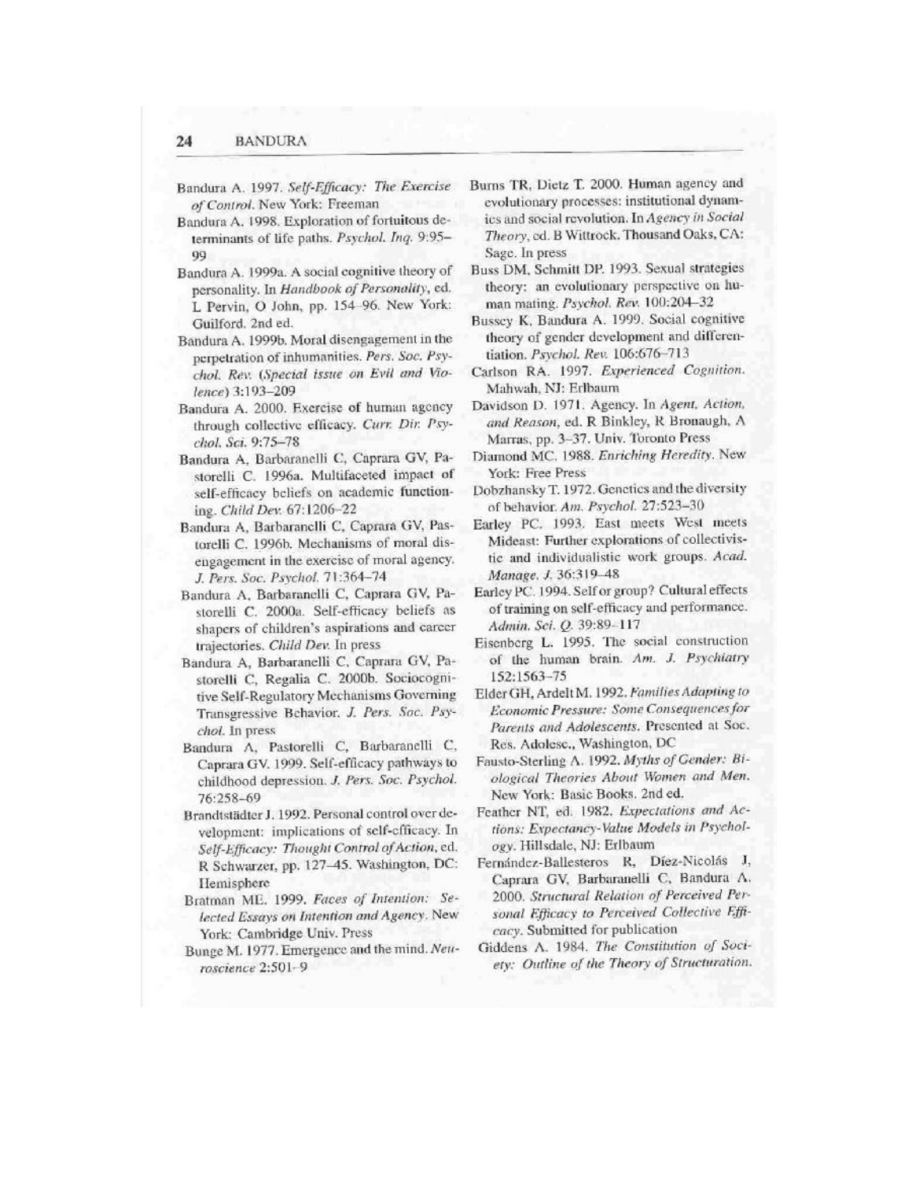- Bandura A. 1997. Self-Efficacy: The Exercise of Control. New York: Freeman
- Bandura A. 1998. Exploration of fortuitous determinants of life paths. Psychol. Inq. 9:95-99
- Bandura A. 1999a. A social cognitive theory of personality. In Handbook of Personality, ed. L Pervin, O John, pp. 154-96. New York: Guilford. 2nd ed.
- Bandura A. 1999b. Moral disengagement in the perpetration of inhumanities. Pers. Soc. Psychol. Rev. (Special issue on Evil and Violence) 3:193-209
- Bandura A. 2000. Exercise of human agency through collective efficacy. Curr. Dir. Psychol. Sci. 9:75-78
- Bandura A, Barbaranelli C, Caprara GV, Pastorelli C. 1996a. Multifaceted impact of self-efficacy beliefs on academic functioning. Child Dev. 67:1206-22
- Bandura A, Barbaranelli C, Caprara GV, Pastorelli C. 1996b. Mechanisms of moral disengagement in the exercise of moral agency. J. Pers. Soc. Psychol. 71:364-74
- Bandura A, Barbaranelli C, Caprara GV, Pastorelli C. 2000a. Self-efficacy beliefs as shapers of children's aspirations and career trajectories. Child Dev. In press
- Bandura A, Barbaranelli C, Caprara GV, Pastorelli C, Regalia C. 2000b. Sociocognitive Self-Regulatory Mechanisms Governing Transgressive Bchavior. J. Pers. Soc. Psychol. In press
- Bandura A, Pastorelli C, Barbaranelli C, Caprara GV. 1999. Self-efficacy pathways to childhood depression. J. Pers. Soc. Psychol. 76:258-69
- Brandtstädter J. 1992. Personal control over development: implications of self-efficacy. In Self-Efficacy: Thought Control of Action, ed. R Schwarzer, pp. 127-45. Washington, DC: Hemisphere
- Bratman ME. 1999. Faces of Intention: Selected Essays on Intention and Agency. New York: Cambridge Univ. Press
- Bunge M. 1977. Emergence and the mind. Neuroscience 2:501-9
- Burns TR, Dietz T. 2000. Human agency and evolutionary processes: institutional dynamics and social revolution. In Agency in Social Theory, ed. B Wittrock, Thousand Oaks, CA: Sage. In press
- Buss DM, Schmitt DP. 1993. Sexual strategies theory: an evolutionary perspective on human mating. Psychol. Rev. 100:204-32
- Bussey K, Bandura A. 1999. Social cognitive theory of gender development and differentiation. Psychol. Rev. 106:676-713
- Carlson RA. 1997. Experienced Cognition. Mahwah, NJ: Erlbaum
- Davidson D. 1971. Agency. In Agent, Action, and Reason, ed. R Binkley, R Bronaugh, A Marras, pp. 3-37. Univ. Toronto Press
- Diamond MC. 1988. Enriching Heredity. New York: Free Press
- Dobzhansky T. 1972. Genetics and the diversity of behavior. Am. Psychol. 27:523-30
- Earley PC. 1993. East meets West meets Mideast: Further explorations of collectivistic and individualistic work groups. Acad. Manage. J. 36:319-48
- Earley PC. 1994. Self or group? Cultural effects of training on self-efficacy and performance. Admin. Sci. Q. 39:89-117
- Eisenberg L. 1995. The social construction of the human brain. Am. J. Psychiatry 152:1563-75
- Elder GH, Ardelt M. 1992. Families Adapting to Economic Pressure: Some Consequences for Parents and Adolescents. Presented at Soc. Res. Adolesc., Washington, DC
- Fausto-Sterling A. 1992. Myths of Gender: Biological Theories About Women and Men. New York: Basic Books. 2nd ed.
- Feather NT, ed. 1982. Expectations and Actions: Expectancy-Value Models in Psychology. Hillsdale, NJ: Erlbaum
- Fernández-Ballesteros R, Díez-Nicolás J, Caprara GV, Barbaranelli C, Bandura A. 2000. Structural Relation of Perceived Personal Efficacy to Perceived Collective Efficacy. Submitted for publication
- Giddens A. 1984. The Constitution of Society: Outline of the Theory of Structuration.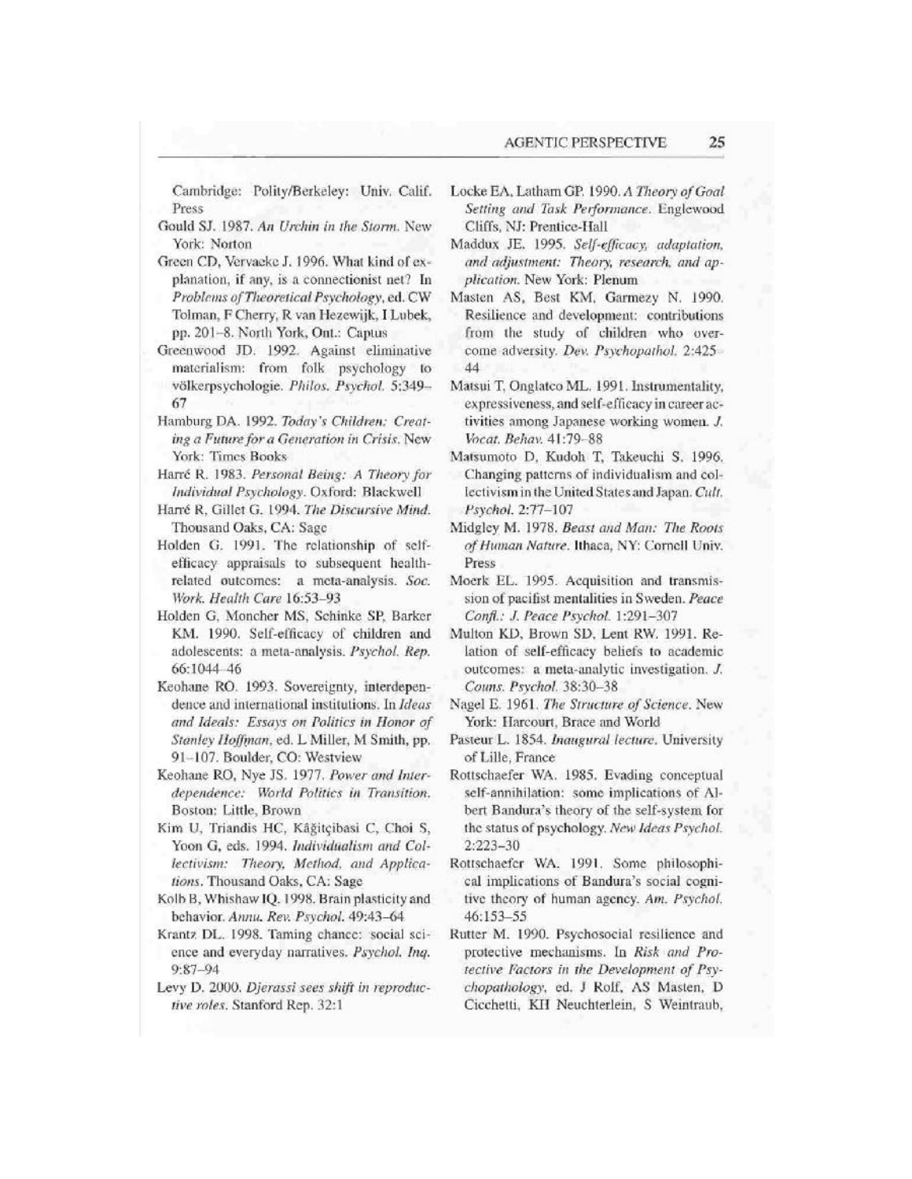Cambridge: Polity/Berkeley: Univ. Calif. Press

- Gould SJ. 1987. An Urchin in the Storm. New York: Norton
- Green CD, Vervaeke J. 1996. What kind of explanation, if any, is a connectionist net? In Problems of Theoretical Psychology, ed. CW Tolman, F Cherry, R van Hezewijk, I Lubek, pp. 201-8. North York, Ont.: Captus
- Greenwood JD. 1992. Against eliminative materialism: from folk psychology to völkerpsychologie. Philos. Psychol. 5:349-67
- Hamburg DA. 1992. Today's Children: Creating a Future for a Generation in Crisis. New York: Times Books
- Harré R. 1983. Personal Being: A Theory for Individual Psychology. Oxford: Blackwell
- Harré R, Gillet G. 1994. The Discursive Mind. Thousand Oaks, CA: Sage
- Holden G. 1991. The relationship of selfefficacy appraisals to subsequent healthrelated outcomes: a meta-analysis. Soc. Work. Health Care 16:53-93
- Holden G, Moncher MS, Schinke SP, Barker KM. 1990. Self-efficacy of children and adolescents: a meta-analysis. Psychol. Rep. 66:1044 46
- Keohane RO. 1993. Sovereignty, interdependence and international institutions. In Ideas and Ideals: Essays on Politics in Honor of Stanley Hoffman, ed. L Miller, M Smith, pp. 91-107. Boulder, CO: Westview
- Keohane RO, Nye JS. 1977. Power and Interdependence: World Politics in Transition. Boston: Little, Brown
- Kim U, Triandis HC, Kâğitçibasi C, Choi S, Yoon G, eds. 1994. Individualism and Collectivism: Theory, Method, and Applications. Thousand Oaks, CA: Sage
- Kolb B, Whishaw IQ. 1998. Brain plasticity and behavior. Annu. Rev. Psychol. 49:43-64
- Krantz DL. 1998. Taming chance: social science and everyday narratives. Psychol. Inq.  $9:87 - 94$
- Levy D. 2000. Djerassi sees shift in reproductive roles. Stanford Rep. 32:1
- Locke EA, Latham GP. 1990. A Theory of Goal Setting and Task Performance. Englewood Cliffs, NJ: Prentice-Hall
- Maddux JE. 1995. Self-efficacy, adaptation, and adjustment: Theory, research, and application. New York: Plenum
- Masten AS, Best KM, Garmezy N. 1990. Resilience and development: contributions from the study of children who overcome adversity. Dev. Psychopathol. 2:425 44
- Matsui T, Onglatco ML. 1991. Instrumentality, expressiveness, and self-efficacy in career activities among Japanese working women. J. Vocat. Behav. 41:79-88
- Matsumoto D, Kudoh T, Takeuchi S. 1996. Changing patterns of individualism and collectivism in the United States and Japan. Cult. Psychol. 2:77-107
- Midgley M. 1978. Beast and Man: The Roots of Human Nature. Ithaca, NY: Cornell Univ. Press
- Moerk EL. 1995. Acquisition and transmission of pacifist mentalities in Sweden. Peace Confl.: J. Peace Psychol. 1:291-307
- Multon KD, Brown SD, Lent RW, 1991. Relation of self-efficacy beliefs to academic outcomes: a meta-analytic investigation. J. Couns. Psychol. 38:30-38
- Nagel E. 1961. The Structure of Science. New York: Harcourt, Brace and World
- Pasteur L. 1854. Inaugural lecture. University of Lille, France
- Rottschaefer WA. 1985. Evading conceptual self-annihilation: some implications of Albert Bandura's theory of the self-system for the status of psychology. New Ideas Psychol.  $2:223-30$
- Rottschaefer WA. 1991. Some philosophical implications of Bandura's social cognitive theory of human agency. Am. Psychol. 46:153-55
- Rutter M. 1990. Psychosocial resilience and protective mechanisms. In Risk and Protective Factors in the Development of Psychopathology, ed. J Rolf, AS Masten, D Cicchetti, KH Neuchterlein, S Weintraub,